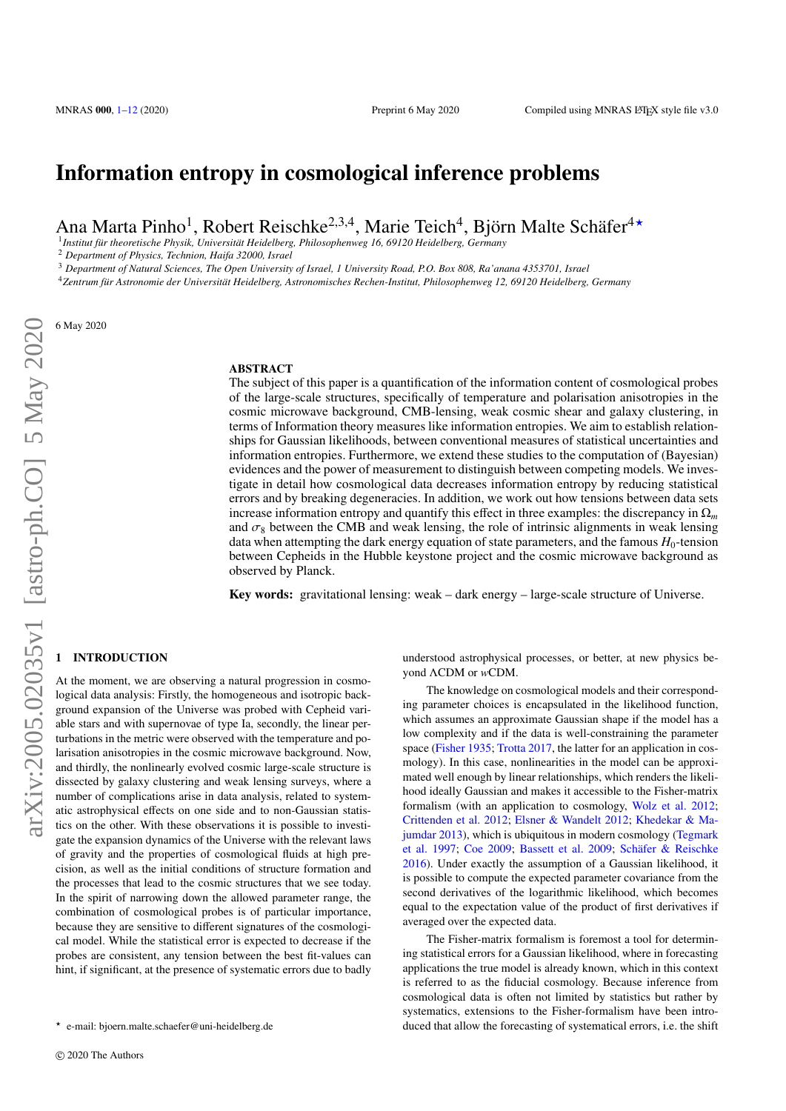# Information entropy in cosmological inference problems

Ana Marta Pinho<sup>1</sup>, Robert Reischke<sup>2,3,4</sup>, Marie Teich<sup>4</sup>, Björn Malte Schäfer<sup>4\*</sup>

1 *Institut für theoretische Physik, Universität Heidelberg, Philosophenweg 16, 69120 Heidelberg, Germany*

<sup>2</sup> *Department of Physics, Technion, Haifa 32000, Israel*

<sup>3</sup> *Department of Natural Sciences, The Open University of Israel, 1 University Road, P.O. Box 808, Ra'anana 4353701, Israel*

<sup>4</sup>*Zentrum für Astronomie der Universität Heidelberg, Astronomisches Rechen-Institut, Philosophenweg 12, 69120 Heidelberg, Germany*

6 May 2020

## ABSTRACT

The subject of this paper is a quantification of the information content of cosmological probes of the large-scale structures, specifically of temperature and polarisation anisotropies in the cosmic microwave background, CMB-lensing, weak cosmic shear and galaxy clustering, in terms of Information theory measures like information entropies. We aim to establish relationships for Gaussian likelihoods, between conventional measures of statistical uncertainties and information entropies. Furthermore, we extend these studies to the computation of (Bayesian) evidences and the power of measurement to distinguish between competing models. We investigate in detail how cosmological data decreases information entropy by reducing statistical errors and by breaking degeneracies. In addition, we work out how tensions between data sets increase information entropy and quantify this effect in three examples: the discrepancy in  $\Omega_m$ and  $\sigma_8$  between the CMB and weak lensing, the role of intrinsic alignments in weak lensing data when attempting the dark energy equation of state parameters, and the famous  $H_0$ -tension between Cepheids in the Hubble keystone project and the cosmic microwave background as observed by Planck.

Key words: gravitational lensing: weak – dark energy – large-scale structure of Universe.

## <span id="page-0-0"></span>**INTRODUCTION**

At the moment, we are observing a natural progression in cosmological data analysis: Firstly, the homogeneous and isotropic background expansion of the Universe was probed with Cepheid variable stars and with supernovae of type Ia, secondly, the linear perturbations in the metric were observed with the temperature and polarisation anisotropies in the cosmic microwave background. Now, and thirdly, the nonlinearly evolved cosmic large-scale structure is dissected by galaxy clustering and weak lensing surveys, where a number of complications arise in data analysis, related to systematic astrophysical effects on one side and to non-Gaussian statistics on the other. With these observations it is possible to investigate the expansion dynamics of the Universe with the relevant laws of gravity and the properties of cosmological fluids at high precision, as well as the initial conditions of structure formation and the processes that lead to the cosmic structures that we see today. In the spirit of narrowing down the allowed parameter range, the combination of cosmological probes is of particular importance, because they are sensitive to different signatures of the cosmological model. While the statistical error is expected to decrease if the probes are consistent, any tension between the best fit-values can hint, if significant, at the presence of systematic errors due to badly

understood astrophysical processes, or better, at new physics beyond ΛCDM or *w*CDM.

The knowledge on cosmological models and their corresponding parameter choices is encapsulated in the likelihood function, which assumes an approximate Gaussian shape if the model has a low complexity and if the data is well-constraining the parameter space [\(Fisher](#page-11-0) [1935;](#page-11-0) [Trotta](#page-11-1) [2017,](#page-11-1) the latter for an application in cosmology). In this case, nonlinearities in the model can be approximated well enough by linear relationships, which renders the likelihood ideally Gaussian and makes it accessible to the Fisher-matrix formalism (with an application to cosmology, [Wolz et al.](#page-11-2) [2012;](#page-11-2) [Crittenden et al.](#page-11-3) [2012;](#page-11-3) [Elsner & Wandelt](#page-11-4) [2012;](#page-11-4) [Khedekar & Ma](#page-11-5)[jumdar](#page-11-5) [2013\)](#page-11-5), which is ubiquitous in modern cosmology [\(Tegmark](#page-11-6) [et al.](#page-11-6) [1997;](#page-11-6) [Coe](#page-10-1) [2009;](#page-10-1) [Bassett et al.](#page-10-2) [2009;](#page-10-2) [Schäfer & Reischke](#page-11-7) [2016\)](#page-11-7). Under exactly the assumption of a Gaussian likelihood, it is possible to compute the expected parameter covariance from the second derivatives of the logarithmic likelihood, which becomes equal to the expectation value of the product of first derivatives if averaged over the expected data.

The Fisher-matrix formalism is foremost a tool for determining statistical errors for a Gaussian likelihood, where in forecasting applications the true model is already known, which in this context is referred to as the fiducial cosmology. Because inference from cosmological data is often not limited by statistics but rather by systematics, extensions to the Fisher-formalism have been introduced that allow the forecasting of systematical errors, i.e. the shift

<sup>?</sup> e-mail: bjoern.malte.schaefer@uni-heidelberg.de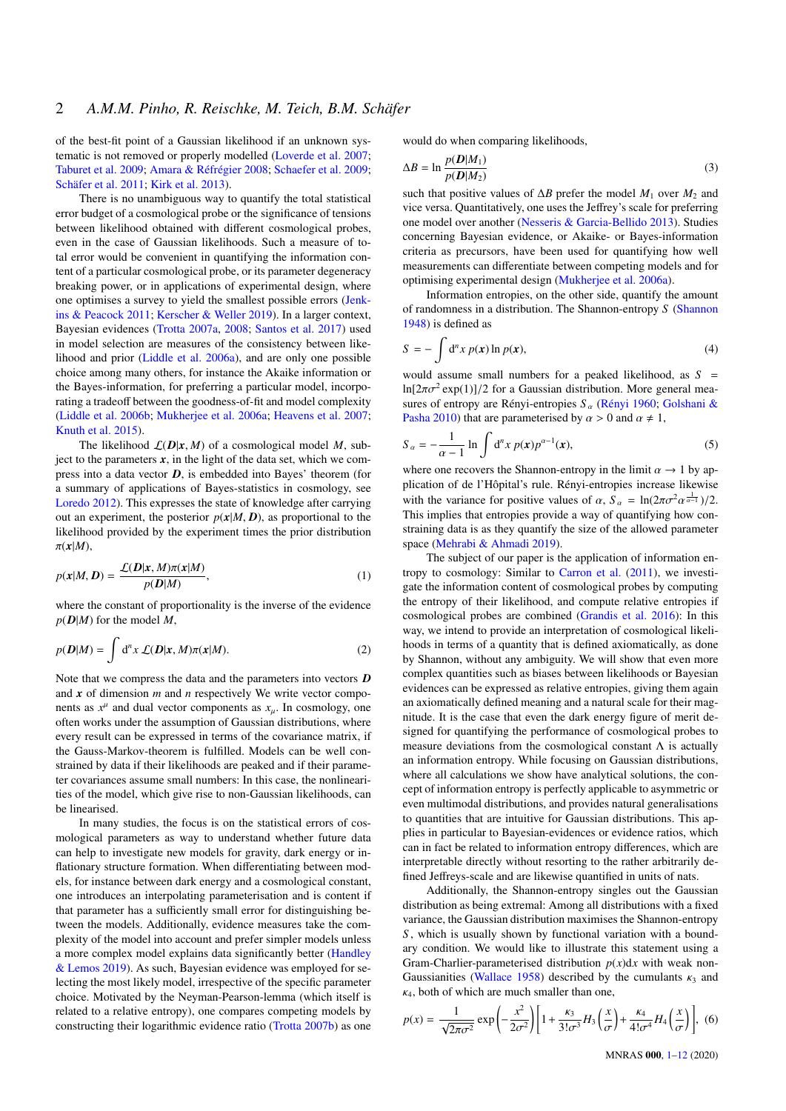of the best-fit point of a Gaussian likelihood if an unknown systematic is not removed or properly modelled [\(Loverde et al.](#page-11-8) [2007;](#page-11-8) [Taburet et al.](#page-11-9) [2009;](#page-11-9) [Amara & Réfrégier](#page-10-3) [2008;](#page-10-3) [Schaefer et al.](#page-11-10) [2009;](#page-11-10) [Schäfer et al.](#page-11-11) [2011;](#page-11-11) [Kirk et al.](#page-11-12) [2013\)](#page-11-12).

There is no unambiguous way to quantify the total statistical error budget of a cosmological probe or the significance of tensions between likelihood obtained with different cosmological probes, even in the case of Gaussian likelihoods. Such a measure of total error would be convenient in quantifying the information content of a particular cosmological probe, or its parameter degeneracy breaking power, or in applications of experimental design, where one optimises a survey to yield the smallest possible errors [\(Jenk](#page-11-13)[ins & Peacock](#page-11-13) [2011;](#page-11-13) [Kerscher & Weller](#page-11-14) [2019\)](#page-11-14). In a larger context, Bayesian evidences [\(Trotta](#page-11-15) [2007a,](#page-11-15) [2008;](#page-11-16) [Santos et al.](#page-11-17) [2017\)](#page-11-17) used in model selection are measures of the consistency between likelihood and prior [\(Liddle et al.](#page-11-18) [2006a\)](#page-11-18), and are only one possible choice among many others, for instance the Akaike information or the Bayes-information, for preferring a particular model, incorporating a tradeoff between the goodness-of-fit and model complexity [\(Liddle et al.](#page-11-19) [2006b;](#page-11-19) [Mukherjee et al.](#page-11-20) [2006a;](#page-11-20) [Heavens et al.](#page-11-21) [2007;](#page-11-21) [Knuth et al.](#page-11-22) [2015\)](#page-11-22).

The likelihood  $\mathcal{L}(D|x, M)$  of a cosmological model *M*, subject to the parameters  $x$ , in the light of the data set, which we compress into a data vector *D*, is embedded into Bayes' theorem (for a summary of applications of Bayes-statistics in cosmology, see [Loredo](#page-11-23) [2012\)](#page-11-23). This expresses the state of knowledge after carrying out an experiment, the posterior  $p(x|M, D)$ , as proportional to the likelihood provided by the experiment times the prior distribution  $\pi(x|M)$ ,

$$
p(\mathbf{x}|M,\mathbf{D}) = \frac{\mathcal{L}(\mathbf{D}|\mathbf{x},M)\pi(\mathbf{x}|M)}{p(\mathbf{D}|M)},
$$
\n(1)

where the constant of proportionality is the inverse of the evidence  $p(D|M)$  for the model M,

$$
p(\mathbf{D}|M) = \int \mathrm{d}^n x \, \mathcal{L}(\mathbf{D}|\mathbf{x}, M)\pi(\mathbf{x}|M). \tag{2}
$$

Note that we compress the data and the parameters into vectors *D* and *x* of dimension *m* and *n* respectively We write vector components as  $x^{\mu}$  and dual vector components as  $x_{\mu}$ . In cosmology, one often works under the assumption of Gaussian distributions, where every result can be expressed in terms of the covariance matrix, if the Gauss-Markov-theorem is fulfilled. Models can be well constrained by data if their likelihoods are peaked and if their parameter covariances assume small numbers: In this case, the nonlinearities of the model, which give rise to non-Gaussian likelihoods, can be linearised.

In many studies, the focus is on the statistical errors of cosmological parameters as way to understand whether future data can help to investigate new models for gravity, dark energy or inflationary structure formation. When differentiating between models, for instance between dark energy and a cosmological constant, one introduces an interpolating parameterisation and is content if that parameter has a sufficiently small error for distinguishing between the models. Additionally, evidence measures take the complexity of the model into account and prefer simpler models unless a more complex model explains data significantly better [\(Handley](#page-11-24) [& Lemos](#page-11-24) [2019\)](#page-11-24). As such, Bayesian evidence was employed for selecting the most likely model, irrespective of the specific parameter choice. Motivated by the Neyman-Pearson-lemma (which itself is related to a relative entropy), one compares competing models by constructing their logarithmic evidence ratio [\(Trotta](#page-11-25) [2007b\)](#page-11-25) as one

would do when comparing likelihoods,

$$
\Delta B = \ln \frac{p(D|M_1)}{p(D|M_2)}\tag{3}
$$

such that positive values of ∆*B* prefer the model *M*<sup>1</sup> over *M*<sup>2</sup> and vice versa. Quantitatively, one uses the Jeffrey's scale for preferring one model over another [\(Nesseris & Garcia-Bellido](#page-11-26) [2013\)](#page-11-26). Studies concerning Bayesian evidence, or Akaike- or Bayes-information criteria as precursors, have been used for quantifying how well measurements can differentiate between competing models and for optimising experimental design [\(Mukherjee et al.](#page-11-20) [2006a\)](#page-11-20).

Information entropies, on the other side, quantify the amount of randomness in a distribution. The Shannon-entropy *S* [\(Shannon](#page-11-27) [1948\)](#page-11-27) is defined as

<span id="page-1-0"></span>
$$
S = -\int d^n x \, p(\mathbf{x}) \ln p(\mathbf{x}), \tag{4}
$$

would assume small numbers for a peaked likelihood, as  $S =$ ln[ $2\pi\sigma^2$  exp(1)]/2 for a Gaussian distribution. More general mea-<br>sures of entropy are Répyi-entropies S. (Répyi 1960; Golshani & sures of entropy are Rényi-entropies *<sup>S</sup>* α [\(Rényi](#page-11-28) [1960;](#page-11-28) [Golshani &](#page-11-29) [Pasha](#page-11-29) [2010\)](#page-11-29) that are parameterised by  $\alpha > 0$  and  $\alpha \neq 1$ ,

$$
S_{\alpha} = -\frac{1}{\alpha - 1} \ln \int d^{n}x \, p(x) p^{\alpha - 1}(x),\tag{5}
$$

where one recovers the Shannon-entropy in the limit  $\alpha \to 1$  by ap-<br>plication of de l'Hônital's rule. Bényi-entropies increase likewise plication of de l'Hôpital's rule. Rényi-entropies increase likewise with the variance for positive values of  $\alpha$ ,  $S_{\alpha} = \ln(2\pi\sigma^2\alpha^{\frac{1}{\alpha-1}})/2$ .<br>This implies that entropies provide a way of quantifying how con-This implies that entropies provide a way of quantifying how constraining data is as they quantify the size of the allowed parameter space [\(Mehrabi & Ahmadi](#page-11-30) [2019\)](#page-11-30).

The subject of our paper is the application of information entropy to cosmology: Similar to [Carron et al.](#page-10-4) [\(2011\)](#page-10-4), we investigate the information content of cosmological probes by computing the entropy of their likelihood, and compute relative entropies if cosmological probes are combined [\(Grandis et al.](#page-11-31) [2016\)](#page-11-31): In this way, we intend to provide an interpretation of cosmological likelihoods in terms of a quantity that is defined axiomatically, as done by Shannon, without any ambiguity. We will show that even more complex quantities such as biases between likelihoods or Bayesian evidences can be expressed as relative entropies, giving them again an axiomatically defined meaning and a natural scale for their magnitude. It is the case that even the dark energy figure of merit designed for quantifying the performance of cosmological probes to measure deviations from the cosmological constant  $\Lambda$  is actually an information entropy. While focusing on Gaussian distributions, where all calculations we show have analytical solutions, the concept of information entropy is perfectly applicable to asymmetric or even multimodal distributions, and provides natural generalisations to quantities that are intuitive for Gaussian distributions. This applies in particular to Bayesian-evidences or evidence ratios, which can in fact be related to information entropy differences, which are interpretable directly without resorting to the rather arbitrarily defined Jeffreys-scale and are likewise quantified in units of nats.

Additionally, the Shannon-entropy singles out the Gaussian distribution as being extremal: Among all distributions with a fixed variance, the Gaussian distribution maximises the Shannon-entropy *S* , which is usually shown by functional variation with a boundary condition. We would like to illustrate this statement using a Gram-Charlier-parameterised distribution  $p(x)dx$  with weak non-Gaussianities [\(Wallace](#page-11-32) [1958\)](#page-11-32) described by the cumulants  $\kappa_3$  and  $k_4$ , both of which are much smaller than one,

$$
p(x) = \frac{1}{\sqrt{2\pi\sigma^2}} \exp\left(-\frac{x^2}{2\sigma^2}\right) \left[1 + \frac{\kappa_3}{3!\sigma^3} H_3\left(\frac{x}{\sigma}\right) + \frac{\kappa_4}{4!\sigma^4} H_4\left(\frac{x}{\sigma}\right)\right],\tag{6}
$$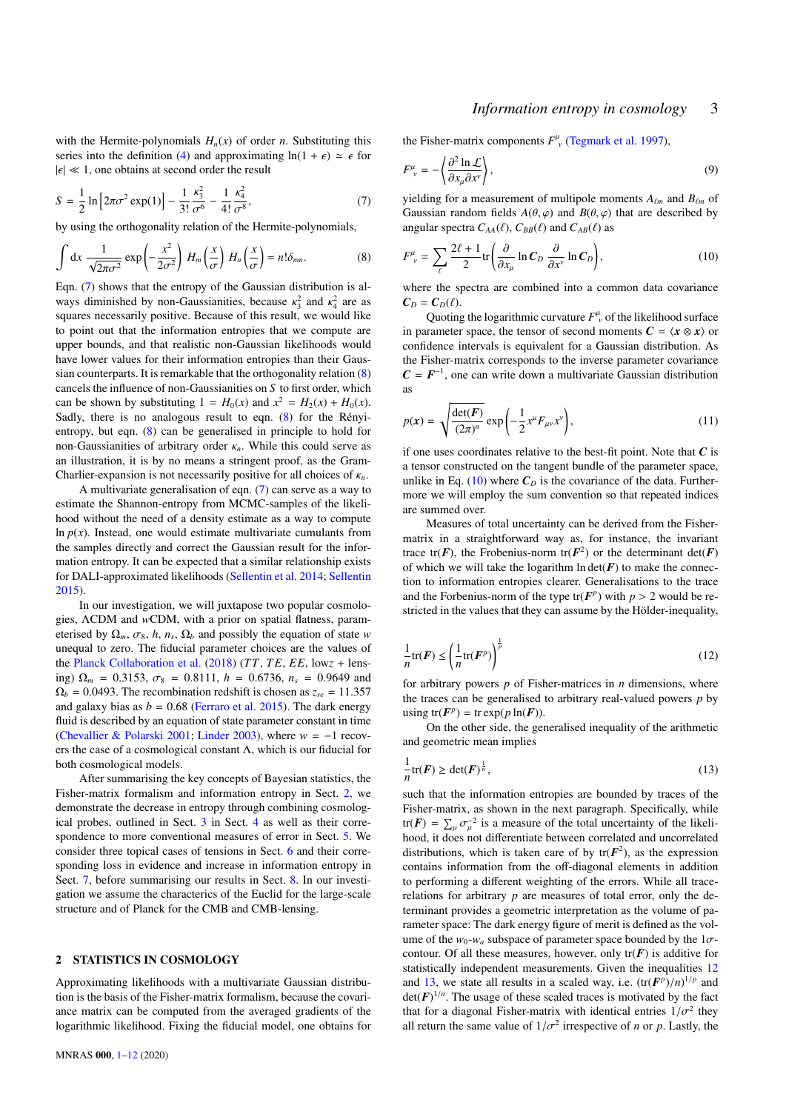## <span id="page-2-3"></span>*Information entropy in cosmology* 3

with the Hermite-polynomials  $H_n(x)$  of order *n*. Substituting this series into the definition [\(4\)](#page-1-0) and approximating  $ln(1 + \epsilon) \approx \epsilon$  for  $|\epsilon| \ll 1$ , one obtains at second order the result

$$
S = \frac{1}{2} \ln \left[ 2\pi \sigma^2 \exp(1) \right] - \frac{1}{3!} \frac{\kappa_3^2}{\sigma^6} - \frac{1}{4!} \frac{\kappa_4^2}{\sigma^8},
$$
 (7)  
by using the orthogonality relation of the Hermite-polynomials,

$$
\int dx \frac{1}{\sqrt{2\pi\sigma^2}} \exp\left(-\frac{x^2}{2\sigma^2}\right) H_m\left(\frac{x}{\sigma}\right) H_n\left(\frac{x}{\sigma}\right) = n!\delta_{mn}.
$$
 (8)

Eqn. [\(7\)](#page-2-0) shows that the entropy of the Gaussian distribution is always diminished by non-Gaussianities, because  $\kappa_3^2$  and  $\kappa_4^2$  are as<br>squares necessarily positive. Because of this result, we would like squares necessarily positive. Because of this result, we would like to point out that the information entropies that we compute are upper bounds, and that realistic non-Gaussian likelihoods would have lower values for their information entropies than their Gaussian counterparts. It is remarkable that the orthogonality relation [\(8\)](#page-2-1) cancels the influence of non-Gaussianities on *S* to first order, which can be shown by substituting  $1 = H_0(x)$  and  $x^2 = H_2(x) + H_0(x)$ . Sadly, there is no analogous result to eqn. [\(8\)](#page-2-1) for the Rényientropy, but eqn. [\(8\)](#page-2-1) can be generalised in principle to hold for non-Gaussianities of arbitrary order κ*<sup>n</sup>*. While this could serve as an illustration, it is by no means a stringent proof, as the Gram-Charlier-expansion is not necessarily positive for all choices of κ*<sup>n</sup>*.

A multivariate generalisation of eqn. [\(7\)](#page-2-0) can serve as a way to estimate the Shannon-entropy from MCMC-samples of the likelihood without the need of a density estimate as a way to compute  $\ln p(x)$ . Instead, one would estimate multivariate cumulants from the samples directly and correct the Gaussian result for the information entropy. It can be expected that a similar relationship exists for DALI-approximated likelihoods [\(Sellentin et al.](#page-11-33) [2014;](#page-11-33) [Sellentin](#page-11-34) [2015\)](#page-11-34).

In our investigation, we will juxtapose two popular cosmologies, ΛCDM and *w*CDM, with a prior on spatial flatness, parameterised by  $\Omega_m$ ,  $\sigma_8$ , *h*,  $n_s$ ,  $\Omega_b$  and possibly the equation of state *w* unequal to zero. The fiducial parameter choices are the values of unequal to zero. The fiducial parameter choices are the values of the [Planck Collaboration et al.](#page-11-35) [\(2018\)](#page-11-35) (*T T*, *T E*, *EE*, low*z* + lensing)  $\Omega_m = 0.3153$ ,  $\sigma_8 = 0.8111$ ,  $h = 0.6736$ ,  $n_s = 0.9649$  and  $\Omega_b = 0.0493$ . The recombination redshift is chosen as  $z_{re} = 11.357$ and galaxy bias as  $b = 0.68$  [\(Ferraro et al.](#page-11-36) [2015\)](#page-11-36). The dark energy fluid is described by an equation of state parameter constant in time [\(Chevallier & Polarski](#page-10-5) [2001;](#page-10-5) [Linder](#page-11-37) [2003\)](#page-11-37), where *w* = −1 recovers the case of a cosmological constant  $\Lambda$ , which is our fiducial for both cosmological models.

After summarising the key concepts of Bayesian statistics, the Fisher-matrix formalism and information entropy in Sect. [2,](#page-2-2) we demonstrate the decrease in entropy through combining cosmological probes, outlined in Sect. [3](#page-4-0) in Sect. [4](#page-5-0) as well as their correspondence to more conventional measures of error in Sect. [5.](#page-6-0) We consider three topical cases of tensions in Sect. [6](#page-7-0) and their corresponding loss in evidence and increase in information entropy in Sect. [7,](#page-9-0) before summarising our results in Sect. [8.](#page-10-6) In our investigation we assume the characterics of the Euclid for the large-scale structure and of Planck for the CMB and CMB-lensing.

## <span id="page-2-2"></span>2 STATISTICS IN COSMOLOGY

Approximating likelihoods with a multivariate Gaussian distribution is the basis of the Fisher-matrix formalism, because the covariance matrix can be computed from the averaged gradients of the logarithmic likelihood. Fixing the fiducial model, one obtains for <span id="page-2-0"></span>the Fisher-matrix components  $F^{\mu}_{\ \nu}$  [\(Tegmark et al.](#page-11-6) [1997\)](#page-11-6),

$$
F^{\mu}_{\nu} = -\left\langle \frac{\partial^2 \ln \mathcal{L}}{\partial x_{\mu} \partial x^{\nu}} \right\rangle, \tag{9}
$$

<span id="page-2-1"></span>yielding for a measurement of multipole moments  $A_{\ell m}$  and  $B_{\ell m}$  of Gaussian random fields  $A(\theta, \varphi)$  and  $B(\theta, \varphi)$  that are described by angular spectra  $C_{AA}(\ell)$ ,  $C_{BB}(\ell)$  and  $C_{AB}(\ell)$  as

$$
F^{\mu}_{\nu} = \sum_{\ell} \frac{2\ell + 1}{2} \text{tr} \left( \frac{\partial}{\partial x_{\mu}} \ln C_D \frac{\partial}{\partial x^{\nu}} \ln C_D \right), \tag{10}
$$

where the spectra are combined into a common data covariance  $C_D = C_D(\ell)$ .

Quoting the logarithmic curvature  $F^{\mu}_{\ \nu}$  of the likelihood surface in parameter space, the tensor of second moments  $C = \langle x \otimes x \rangle$  or confidence intervals is equivalent for a Gaussian distribution. As the Fisher-matrix corresponds to the inverse parameter covariance  $C = F^{-1}$ , one can write down a multivariate Gaussian distribution as

$$
p(\mathbf{x}) = \sqrt{\frac{\det(\mathbf{F})}{(2\pi)^n}} \exp\left(-\frac{1}{2}x^\mu F_{\mu\nu} x^\nu\right),\tag{11}
$$

if one uses coordinates relative to the best-fit point. Note that *C* is a tensor constructed on the tangent bundle of the parameter space, unlike in Eq. [\(10\)](#page-2-3) where  $C<sub>D</sub>$  is the covariance of the data. Furthermore we will employ the sum convention so that repeated indices are summed over.

Measures of total uncertainty can be derived from the Fishermatrix in a straightforward way as, for instance, the invariant trace tr(*F*), the Frobenius-norm tr( $F^2$ ) or the determinant det(*F*) of which we will take the logarithm  $ln \det(F)$  to make the connection to information entropies clearer. Generalisations to the trace and the Forbenius-norm of the type  $tr(F^p)$  with  $p > 2$  would be re-<br>stricted in the values that they can assume by the Hölder-inequality stricted in the values that they can assume by the Hölder-inequality,

<span id="page-2-4"></span>
$$
\frac{1}{n}\text{tr}(\boldsymbol{F}) \le \left(\frac{1}{n}\text{tr}(\boldsymbol{F}^p)\right)^{\frac{1}{p}}\tag{12}
$$

for arbitrary powers *p* of Fisher-matrices in *n* dimensions, where the traces can be generalised to arbitrary real-valued powers *p* by using  $tr(F^p) = tr \exp(p \ln(F)).$ 

<span id="page-2-5"></span>On the other side, the generalised inequality of the arithmetic and geometric mean implies

$$
\frac{1}{n}\text{tr}(F) \ge \text{det}(F)^{\frac{1}{n}},\tag{13}
$$

such that the information entropies are bounded by traces of the Fisher-matrix, as shown in the next paragraph. Specifically, while tr( $F$ ) =  $\sum_{\mu} \sigma_{\mu}^{-2}$  is a measure of the total uncertainty of the likeli- $\frac{\Delta \mu}{\mu}$  hood, it does not differentiate between correlated and uncorrelated distributions, which is taken care of by  $tr(F^2)$ , as the expression contains information from the off-diagonal elements in addition to performing a different weighting of the errors. While all tracerelations for arbitrary *p* are measures of total error, only the determinant provides a geometric interpretation as the volume of parameter space: The dark energy figure of merit is defined as the volume of the  $w_0$ - $w_a$  subspace of parameter space bounded by the  $1\sigma$ contour. Of all these measures, however, only  $tr(F)$  is additive for statistically independent measurements. Given the inequalities [12](#page-2-4) and [13,](#page-2-5) we state all results in a scaled way, i.e.  $(\text{tr}(\mathbf{F}^p)/n)^{1/p}$  and  $\det(\mathbf{F})^{1/n}$ . The usage of these scaled traces is motivated by the fact  $\det(\mathbf{F})^{1/n}$ . The usage of these scaled traces is motivated by the fact that for a diagonal Fisher-matrix with identical entries  $1/\sigma^2$  they<br>all return the same value of  $1/\sigma^2$  irrespective of n or n Lastly, the all return the same value of  $1/\sigma^2$  irrespective of *n* or *p*. Lastly, the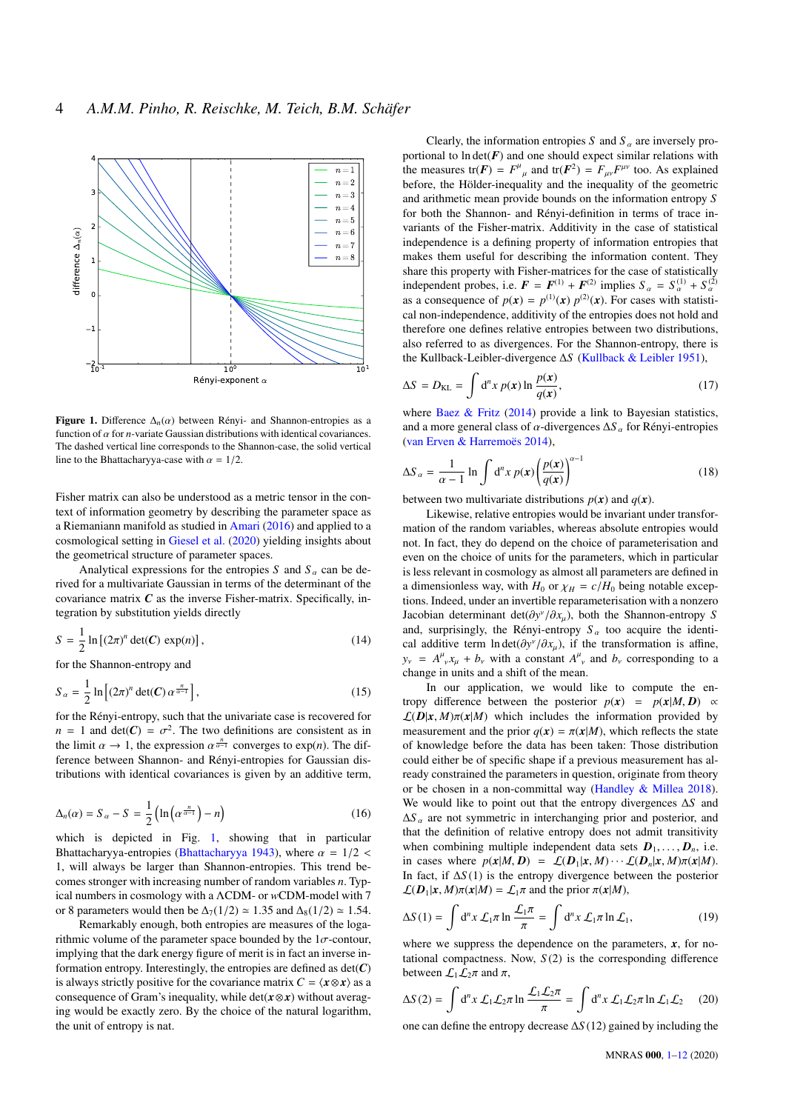

<span id="page-3-0"></span>Figure 1. Difference  $\Delta_n(\alpha)$  between Rényi- and Shannon-entropies as a function of  $\alpha$  for *n*-variate Gaussian distributions with identical covariances. The dashed vertical line corresponds to the Shannon-case, the solid vertical line to the Bhattachary va-case with  $\alpha = 1/2$ .

Fisher matrix can also be understood as a metric tensor in the context of information geometry by describing the parameter space as a Riemaniann manifold as studied in [Amari](#page-10-7) [\(2016\)](#page-10-7) and applied to a cosmological setting in [Giesel et al.](#page-11-38) [\(2020\)](#page-11-38) yielding insights about the geometrical structure of parameter spaces.

Analytical expressions for the entropies *S* and  $S_\alpha$  can be derived for a multivariate Gaussian in terms of the determinant of the covariance matrix  $C$  as the inverse Fisher-matrix. Specifically, integration by substitution yields directly

$$
S = \frac{1}{2} \ln \left[ (2\pi)^n \det(C) \exp(n) \right],\tag{14}
$$

for the Shannon-entropy and

$$
S_{\alpha} = \frac{1}{2} \ln \left[ (2\pi)^n \det(C) \alpha^{\frac{n}{\alpha - 1}} \right],\tag{15}
$$

for the Rényi-entropy, such that the univariate case is recovered for  $n = 1$  and det( $C$ ) =  $\sigma^2$ . The two definitions are consistent as in the limit  $\alpha \to 1$  the expression  $\alpha_{\alpha-1}^{-n}$  converges to exp(n). The difthe limit  $\alpha \to 1$ , the expression  $\alpha^{\frac{n}{\alpha-1}}$  converges to exp(*n*). The dif-<br>ference between Shannon, and Bényi entropies for Gaussian disference between Shannon- and Rényi-entropies for Gaussian distributions with identical covariances is given by an additive term,

$$
\Delta_n(\alpha) = S_\alpha - S = \frac{1}{2} \left( \ln \left( \alpha^{\frac{n}{\alpha - 1}} \right) - n \right) \tag{16}
$$

which is depicted in Fig. [1,](#page-3-0) showing that in particular Bhattacharyya-entropies [\(Bhattacharyya](#page-10-8) [1943\)](#page-10-8), where  $\alpha = 1/2$  < 1, will always be larger than Shannon-entropies. This trend becomes stronger with increasing number of random variables *n*. Typical numbers in cosmology with a ΛCDM- or *w*CDM-model with 7 or 8 parameters would then be  $\Delta_7(1/2) \approx 1.35$  and  $\Delta_8(1/2) \approx 1.54$ .

Remarkably enough, both entropies are measures of the logarithmic volume of the parameter space bounded by the  $1\sigma$ -contour, implying that the dark energy figure of merit is in fact an inverse information entropy. Interestingly, the entropies are defined as  $det(C)$ is always strictly positive for the covariance matrix  $C = \langle x \otimes x \rangle$  as a consequence of Gram's inequality, while det(*x*⊗*x*) without averaging would be exactly zero. By the choice of the natural logarithm, the unit of entropy is nat.

Clearly, the information entropies *S* and  $S_\alpha$  are inversely proportional to  $ln \det(F)$  and one should expect similar relations with the measures tr( $\mathbf{F}$ ) =  $F^{\mu}_{\mu}$  and tr( $\mathbf{F}^2$ ) =  $F_{\mu\nu}F^{\mu\nu}$  too. As explained before, the Hölder-inequality and the inequality of the geometric and arithmetic mean provide bounds on the information entropy *S* for both the Shannon- and Rényi-definition in terms of trace invariants of the Fisher-matrix. Additivity in the case of statistical independence is a defining property of information entropies that makes them useful for describing the information content. They share this property with Fisher-matrices for the case of statistically independent probes, i.e.  $\mathbf{F} = \mathbf{F}^{(1)} + \mathbf{F}^{(2)}$  implies  $S_{\alpha} = S_{\alpha}^{(1)} + S_{\alpha}^{(2)}$ as a consequence of  $p(x) = p^{(1)}(x) p^{(2)}(x)$ . For cases with statistical non-independence, additivity of the entropies does not hold and therefore one defines relative entropies between two distributions, also referred to as divergences. For the Shannon-entropy, there is the Kullback-Leibler-divergence ∆*S* [\(Kullback & Leibler](#page-11-39) [1951\)](#page-11-39),

$$
\Delta S = D_{\text{KL}} = \int d^n x \, p(\mathbf{x}) \ln \frac{p(\mathbf{x})}{q(\mathbf{x})},\tag{17}
$$

where [Baez & Fritz](#page-10-9) [\(2014\)](#page-10-9) provide a link to Bayesian statistics, and a more general class of  $\alpha$ -divergences  $\Delta S$   $\alpha$  for Rényi-entropies [\(van Erven & Harremoës](#page-11-40) [2014\)](#page-11-40),

$$
\Delta S_{\alpha} = \frac{1}{\alpha - 1} \ln \int d^n x \, p(x) \left( \frac{p(x)}{q(x)} \right)^{\alpha - 1} \tag{18}
$$

between two multivariate distributions  $p(x)$  and  $q(x)$ .

Likewise, relative entropies would be invariant under transformation of the random variables, whereas absolute entropies would not. In fact, they do depend on the choice of parameterisation and even on the choice of units for the parameters, which in particular is less relevant in cosmology as almost all parameters are defined in a dimensionless way, with  $H_0$  or  $\chi_H = c/H_0$  being notable exceptions. Indeed, under an invertible reparameterisation with a nonzero Jacobian determinant det( $\frac{\partial y}{\partial x_\mu}$ ), both the Shannon-entropy *S*<br>and surprisingly the Bényi-entropy *S* too acquire the identiand, surprisingly, the Rényi-entropy  $S_\alpha$  too acquire the identical additive term ln det( $\frac{\partial y}{\partial x_\mu}$ ), if the transformation is affine,<br> $y = 4^\mu x + b$  with a constant  $4^\mu$  and b corresponding to a  $y_y = A^{\mu}{}_{\nu} x_{\mu} + b_{\nu}$  with a constant  $A^{\mu}{}_{\nu}$  and  $b_{\nu}$  corresponding to a change in units and a shift of the mean change in units and a shift of the mean.

In our application, we would like to compute the entropy difference between the posterior  $p(x) = p(x|M, D) \propto$  $\mathcal{L}(D|\mathbf{x}, M)\pi(\mathbf{x}|M)$  which includes the information provided by measurement and the prior  $q(x) = \pi(x|M)$ , which reflects the state of knowledge before the data has been taken: Those distribution could either be of specific shape if a previous measurement has already constrained the parameters in question, originate from theory or be chosen in a non-committal way [\(Handley & Millea](#page-11-41) [2018\)](#page-11-41). We would like to point out that the entropy divergences ∆*S* and  $\Delta S_\alpha$  are not symmetric in interchanging prior and posterior, and that the definition of relative entropy does not admit transitivity when combining multiple independent data sets  $D_1, \ldots, D_n$ , i.e. in cases where  $p(x|M, D) = \mathcal{L}(D_1|x, M) \cdots \mathcal{L}(D_n|x, M)\pi(x|M)$ . In fact, if ∆*S* (1) is the entropy divergence between the posterior  $\mathcal{L}(\mathbf{D}_1|\mathbf{x}, M)\pi(\mathbf{x}|M) = \mathcal{L}_1\pi$  and the prior  $\pi(\mathbf{x}|M)$ ,

$$
\Delta S(1) = \int d^n x \, \mathcal{L}_1 \pi \ln \frac{\mathcal{L}_1 \pi}{\pi} = \int d^n x \, \mathcal{L}_1 \pi \ln \mathcal{L}_1,\tag{19}
$$

where we suppress the dependence on the parameters,  $\boldsymbol{x}$ , for notational compactness. Now,  $S(2)$  is the corresponding difference between  $\mathcal{L}_1\mathcal{L}_2\pi$  and  $\pi$ ,

$$
\Delta S(2) = \int d^n x \mathcal{L}_1 \mathcal{L}_2 \pi \ln \frac{\mathcal{L}_1 \mathcal{L}_2 \pi}{\pi} = \int d^n x \mathcal{L}_1 \mathcal{L}_2 \pi \ln \mathcal{L}_1 \mathcal{L}_2 \qquad (20)
$$
  
one can define the entropy decrease  $\Delta S(12)$  gained by including the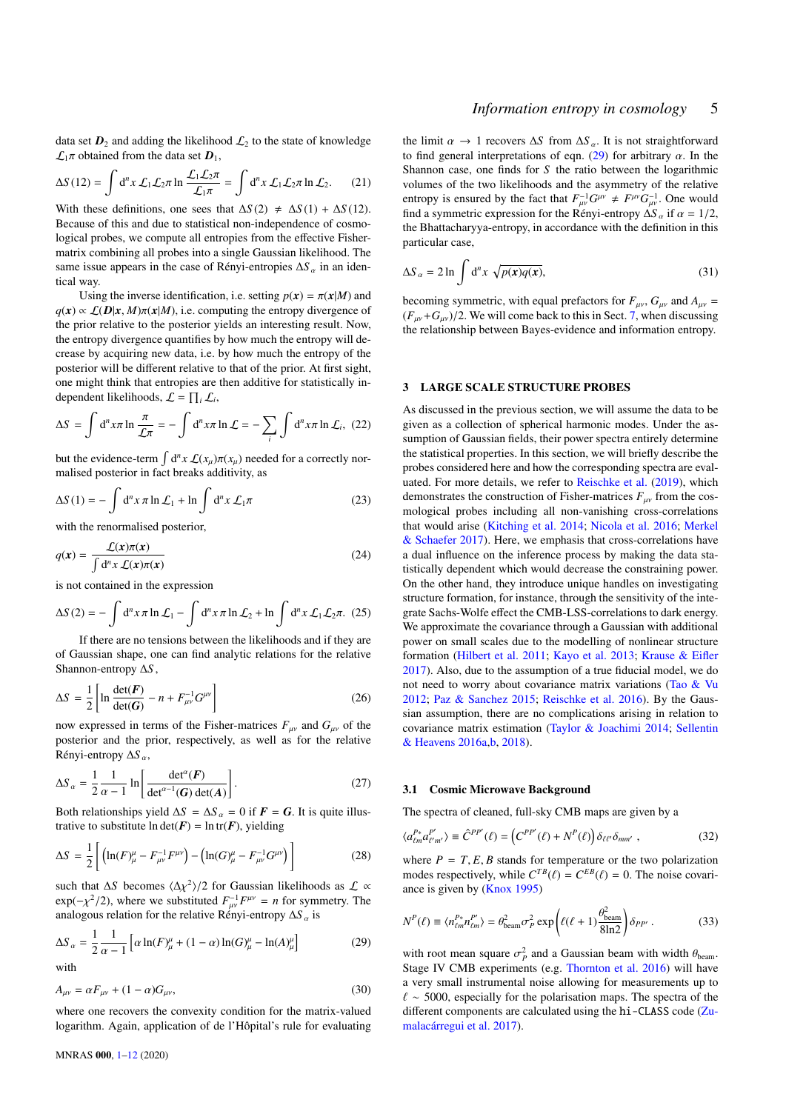data set  $D_2$  and adding the likelihood  $\mathcal{L}_2$  to the state of knowledge  $\mathcal{L}_1\pi$  obtained from the data set  $\mathbf{D}_1$ ,

$$
\Delta S(12) = \int d^n x \mathcal{L}_1 \mathcal{L}_2 \pi \ln \frac{\mathcal{L}_1 \mathcal{L}_2 \pi}{\mathcal{L}_1 \pi} = \int d^n x \mathcal{L}_1 \mathcal{L}_2 \pi \ln \mathcal{L}_2.
$$
 (21)  
With these definitions, one sees that  $\Delta S(2) \neq \Delta S(1) + \Delta S(12)$ .

Because of this and due to statistical non-independence of cosmological probes, we compute all entropies from the effective Fishermatrix combining all probes into a single Gaussian likelihood. The same issue appears in the case of Rényi-entropies Δ*S* <sub>α</sub> in an identical way.

Using the inverse identification, i.e. setting  $p(x) = \pi(x|M)$  and  $q(x) \propto \mathcal{L}(D|x, M)\pi(x|M)$ , i.e. computing the entropy divergence of the prior relative to the posterior yields an interesting result. Now, the entropy divergence quantifies by how much the entropy will decrease by acquiring new data, i.e. by how much the entropy of the posterior will be different relative to that of the prior. At first sight, one might think that entropies are then additive for statistically independent likelihoods,  $\mathcal{L} = \prod_i \mathcal{L}_i$ ,

$$
\Delta S = \int d^n x \pi \ln \frac{\pi}{\mathcal{L}\pi} = -\int d^n x \pi \ln \mathcal{L} = -\sum_i \int d^n x \pi \ln \mathcal{L}_i, (22)
$$

but the evidence-term  $\int d^n x \mathcal{L}(x_\mu) \pi(x_\mu)$  needed for a correctly normalised posterior in fact breaks additivity, as

$$
\Delta S(1) = -\int d^n x \,\pi \ln \mathcal{L}_1 + \ln \int d^n x \,\mathcal{L}_1 \pi \tag{23}
$$

with the renormalised posterior,

$$
q(x) = \frac{\mathcal{L}(x)\pi(x)}{\int d^n x \ \mathcal{L}(x)\pi(x)}\tag{24}
$$

is not contained in the expression

$$
\Delta S(2) = -\int d^n x \,\pi \ln \mathcal{L}_1 - \int d^n x \,\pi \ln \mathcal{L}_2 + \ln \int d^n x \,\mathcal{L}_1 \mathcal{L}_2 \pi. (25)
$$

If there are no tensions between the likelihoods and if they are of Gaussian shape, one can find analytic relations for the relative Shannon-entropy ∆*S* ,

<span id="page-4-2"></span>
$$
\Delta S = \frac{1}{2} \left[ \ln \frac{\det(\boldsymbol{F})}{\det(\boldsymbol{G})} - n + F_{\mu\nu}^{-1} G^{\mu\nu} \right]
$$
(26)

now expressed in terms of the Fisher-matrices  $F_{\mu\nu}$  and  $G_{\mu\nu}$  of the posterior and the prior, respectively, as well as for the relative Rényi-entropy <sup>∆</sup>*<sup>S</sup>* α,

$$
\Delta S_{\alpha} = \frac{1}{2} \frac{1}{\alpha - 1} \ln \left[ \frac{\det^{\alpha}(F)}{\det^{\alpha - 1}(G) \det(A)} \right].
$$
 (27)

Both relationships yield  $\Delta S = \Delta S_\alpha = 0$  if  $\vec{F} = \vec{G}$ . It is quite illustrative to substitute  $\ln \det(F) = \ln \text{tr}(F)$ , yielding

$$
\Delta S = \frac{1}{2} \left[ \left( \ln(F)_{\mu}^{\mu} - F_{\mu\nu}^{-1} F^{\mu\nu} \right) - \left( \ln(G)_{\mu}^{\mu} - F_{\mu\nu}^{-1} G^{\mu\nu} \right) \right]
$$
(28)

such that  $\Delta S$  becomes  $\langle \Delta \chi^2 \rangle/2$  for Gaussian likelihoods as  $\mathcal{L} \propto$ <br>exp(- $\chi^2/2$ ) where we substituted  $F^{-1}F^{\mu\nu} = n$  for symmetry. The  $\exp(-\chi^2/2)$ , where we substituted  $F_{\mu\nu}^{-1}F^{\mu\nu} = n$  for symmetry. The analogous relation for the relative Rényi-entropy <sup>∆</sup>*<sup>S</sup>* α is

$$
\Delta S_{\alpha} = \frac{1}{2} \frac{1}{\alpha - 1} \left[ \alpha \ln(F)_{\mu}^{\mu} + (1 - \alpha) \ln(G)_{\mu}^{\mu} - \ln(A)_{\mu}^{\mu} \right]
$$
(29)

with

$$
A_{\mu\nu} = \alpha F_{\mu\nu} + (1 - \alpha) G_{\mu\nu},
$$
\n(30)

where one recovers the convexity condition for the matrix-valued logarithm. Again, application of de l'Hôpital's rule for evaluating

the limit  $\alpha \to 1$  recovers  $\Delta S$  from  $\Delta S_\alpha$ . It is not straightforward to find general interpretations of eqn. [\(29\)](#page-4-1) for arbitrary  $\alpha$ . In the Shannon case, one finds for *S* the ratio between the logarithmic volumes of the two likelihoods and the asymmetry of the relative entropy is ensured by the fact that  $F_{\mu\nu}^{-1}G^{\mu\nu} \neq F^{\mu\nu}G_{\mu\nu}^{-1}$ . One would find a symmetric expression for the Rényi-entropy  $\Delta S_\alpha$  if  $\alpha = 1/2$ , the Bhattacharyya-entropy, in accordance with the definition in this particular case,

$$
\Delta S_{\alpha} = 2 \ln \int d^n x \sqrt{p(x)q(x)}, \qquad (31)
$$

becoming symmetric, with equal prefactors for  $F_{\mu\nu}$ ,  $G_{\mu\nu}$  and  $A_{\mu\nu}$  =  $(F_{\mu\nu}+G_{\mu\nu})/2$ . We will come back to this in Sect. [7,](#page-9-0) when discussing the relationship between Bayes-evidence and information entropy.

## <span id="page-4-0"></span>3 LARGE SCALE STRUCTURE PROBES

As discussed in the previous section, we will assume the data to be given as a collection of spherical harmonic modes. Under the assumption of Gaussian fields, their power spectra entirely determine the statistical properties. In this section, we will briefly describe the probes considered here and how the corresponding spectra are evaluated. For more details, we refer to [Reischke et al.](#page-11-42) [\(2019\)](#page-11-42), which demonstrates the construction of Fisher-matrices  $F_{\mu\nu}$  from the cosmological probes including all non-vanishing cross-correlations that would arise [\(Kitching et al.](#page-11-43) [2014;](#page-11-43) [Nicola et al.](#page-11-44) [2016;](#page-11-44) [Merkel](#page-11-45) [& Schaefer](#page-11-45) [2017\)](#page-11-45). Here, we emphasis that cross-correlations have a dual influence on the inference process by making the data statistically dependent which would decrease the constraining power. On the other hand, they introduce unique handles on investigating structure formation, for instance, through the sensitivity of the integrate Sachs-Wolfe effect the CMB-LSS-correlations to dark energy. We approximate the covariance through a Gaussian with additional power on small scales due to the modelling of nonlinear structure formation [\(Hilbert et al.](#page-11-46) [2011;](#page-11-46) [Kayo et al.](#page-11-47) [2013;](#page-11-47) [Krause & Eifler](#page-11-48) [2017\)](#page-11-48). Also, due to the assumption of a true fiducial model, we do not need to worry about covariance matrix variations [\(Tao & Vu](#page-11-49) [2012;](#page-11-49) [Paz & Sanchez](#page-11-50) [2015;](#page-11-50) [Reischke et al.](#page-11-51) [2016\)](#page-11-51). By the Gaussian assumption, there are no complications arising in relation to covariance matrix estimation [\(Taylor & Joachimi](#page-11-52) [2014;](#page-11-52) [Sellentin](#page-11-53) [& Heavens](#page-11-53) [2016a](#page-11-53)[,b,](#page-11-54) [2018\)](#page-11-55).

### 3.1 Cosmic Microwave Background

The spectra of cleaned, full-sky CMB maps are given by a

$$
\langle a_{\ell m}^{P*} a_{\ell' m'}^{P'} \rangle \equiv \hat{C}^{PP'}(\ell) = \left( C^{PP'}(\ell) + N^P(\ell) \right) \delta_{\ell \ell'} \delta_{mm'} , \qquad (32)
$$

where  $P = T$ ,  $E$ ,  $B$  stands for temperature or the two polarization modes respectively, while  $C^{TB}(\ell) = C^{EB}(\ell) = 0$ . The noise covari-<br>ance is given by (Knox 1995) ance is given by [\(Knox](#page-11-56) [1995\)](#page-11-56)

<span id="page-4-1"></span>
$$
N^{P}(\ell) \equiv \langle n_{\ell m}^{P*} n_{\ell m}^{P'} \rangle = \theta_{\text{beam}}^2 \sigma_P^2 \exp\left(\ell(\ell+1)\frac{\theta_{\text{beam}}^2}{8\ln 2}\right) \delta_{PP'} . \tag{33}
$$

with root mean square  $\sigma_p^2$  and a Gaussian beam with width  $\theta_{\text{beam}}$ .<br>Stage IV CMB experiments (e.g. Thornton et al. 2016) will have Stage IV CMB experiments (e.g. [Thornton et al.](#page-11-57) [2016\)](#page-11-57) will have a very small instrumental noise allowing for measurements up to  $\ell \sim 5000$ , especially for the polarisation maps. The spectra of the different components are calculated using the hi-CLASS code [\(Zu](#page-11-58)[malacárregui et al.](#page-11-58) [2017\)](#page-11-58).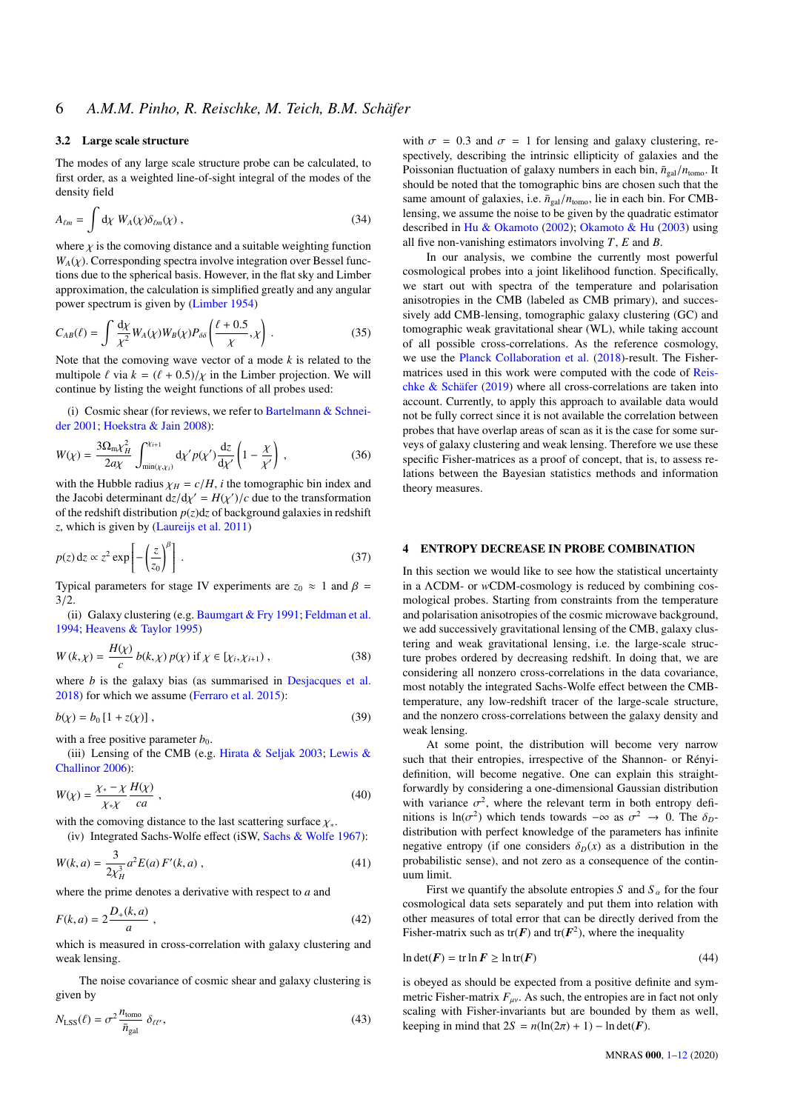## 3.2 Large scale structure

The modes of any large scale structure probe can be calculated, to first order, as a weighted line-of-sight integral of the modes of the density field

$$
A_{\ell m} = \int \mathrm{d}\chi \ W_A(\chi) \delta_{\ell m}(\chi) , \qquad (34)
$$

where  $\chi$  is the comoving distance and a suitable weighting function  $W_A(\chi)$ . Corresponding spectra involve integration over Bessel functions due to the spherical basis. However, in the flat sky and Limber approximation, the calculation is simplified greatly and any angular power spectrum is given by [\(Limber](#page-11-59) [1954\)](#page-11-59)

$$
C_{AB}(\ell) = \int \frac{\mathrm{d}\chi}{\chi^2} W_A(\chi) W_B(\chi) P_{\delta\delta} \left( \frac{\ell + 0.5}{\chi}, \chi \right) . \tag{35}
$$

Note that the comoving wave vector of a mode *k* is related to the multipole  $\ell$  via  $k = (\ell + 0.5)/\gamma$  in the Limber projection. We will continue by listing the weight functions of all probes used:

(i) Cosmic shear (for reviews, we refer to [Bartelmann & Schnei](#page-10-10)[der](#page-10-10) [2001;](#page-10-10) [Hoekstra & Jain](#page-11-60) [2008\)](#page-11-60):

$$
W(\chi) = \frac{3\Omega_{\text{m}}\chi_H^2}{2a\chi} \int_{\min(\chi,\chi_i)}^{\chi_{i+1}} \mathrm{d}\chi' p(\chi') \frac{\mathrm{d}z}{\mathrm{d}\chi'} \left(1 - \frac{\chi}{\chi'}\right) \,,\tag{36}
$$

with the Hubble radius  $\chi_H = c/H$ , *i* the tomographic bin index and the Jacobi determinant  $dz/d\chi' = H(\chi')/c$  due to the transformation<br>of the redshift distribution  $p(z)dz$  of background galaxies in redshift of the redshift distribution  $p(z)dz$  of background galaxies in redshift *z*, which is given by [\(Laureijs et al.](#page-11-61) [2011\)](#page-11-61)

$$
p(z) dz \propto z^2 \exp\left[-\left(\frac{z}{z_0}\right)^{\beta}\right].
$$
 (37)

Typical parameters for stage IV experiments are  $z_0 \approx 1$  and  $\beta =$  $3/2.$ 

(ii) Galaxy clustering (e.g. [Baumgart & Fry](#page-10-11) [1991;](#page-10-11) [Feldman et al.](#page-11-62) [1994;](#page-11-62) [Heavens & Taylor](#page-11-63) [1995\)](#page-11-63)

$$
W(k,\chi) = \frac{H(\chi)}{c} b(k,\chi) p(\chi) \text{ if } \chi \in [\chi_i,\chi_{i+1}) ,
$$
 (38)

where *b* is the galaxy bias (as summarised in [Desjacques et al.](#page-11-64) [2018\)](#page-11-64) for which we assume [\(Ferraro et al.](#page-11-36) [2015\)](#page-11-36):

$$
b(\chi) = b_0 [1 + z(\chi)] \tag{39}
$$

with a free positive parameter  $b_0$ .

(iii) Lensing of the CMB (e.g. [Hirata & Seljak](#page-11-65) [2003;](#page-11-65) [Lewis &](#page-11-66) [Challinor](#page-11-66) [2006\)](#page-11-66):

$$
W(\chi) = \frac{\chi_* - \chi}{\chi_* \chi} \frac{H(\chi)}{ca} , \qquad (40)
$$

with the comoving distance to the last scattering surface  $\chi_*$ .<br>(iv) Integrated Sachs-Wolfe effect (iSW Sachs & Wolfe

(iv) Integrated Sachs-Wolfe effect (iSW, [Sachs & Wolfe](#page-11-67) [1967\)](#page-11-67):

$$
W(k, a) = \frac{3}{2\chi_H^3} a^2 E(a) F'(k, a) ,
$$
 (41)

where the prime denotes a derivative with respect to *a* and

$$
F(k, a) = 2\frac{D_{+}(k, a)}{a},
$$
\n(42)

which is measured in cross-correlation with galaxy clustering and weak lensing.

The noise covariance of cosmic shear and galaxy clustering is given by

$$
N_{\text{LSS}}(\ell) = \sigma^2 \frac{n_{\text{tomo}}}{\bar{n}_{\text{gal}}} \delta_{\ell\ell'},\tag{43}
$$

with  $\sigma = 0.3$  and  $\sigma = 1$  for lensing and galaxy clustering, respectively, describing the intrinsic ellipticity of galaxies and the Poissonian fluctuation of galaxy numbers in each bin,  $\bar{n}_{gal}/n_{\text{tomo}}$ . It should be noted that the tomographic bins are chosen such that the same amount of galaxies, i.e.  $\bar{n}_{gal}/n_{tomo}$ , lie in each bin. For CMBlensing, we assume the noise to be given by the quadratic estimator described in [Hu & Okamoto](#page-11-68) [\(2002\)](#page-11-68); [Okamoto & Hu](#page-11-69) [\(2003\)](#page-11-69) using all five non-vanishing estimators involving *T*, *E* and *B*.

In our analysis, we combine the currently most powerful cosmological probes into a joint likelihood function. Specifically, we start out with spectra of the temperature and polarisation anisotropies in the CMB (labeled as CMB primary), and successively add CMB-lensing, tomographic galaxy clustering (GC) and tomographic weak gravitational shear (WL), while taking account of all possible cross-correlations. As the reference cosmology, we use the [Planck Collaboration et al.](#page-11-35) [\(2018\)](#page-11-35)-result. The Fishermatrices used in this work were computed with the code of [Reis](#page-11-70)[chke & Schäfer](#page-11-70) [\(2019\)](#page-11-70) where all cross-correlations are taken into account. Currently, to apply this approach to available data would not be fully correct since it is not available the correlation between probes that have overlap areas of scan as it is the case for some surveys of galaxy clustering and weak lensing. Therefore we use these specific Fisher-matrices as a proof of concept, that is, to assess relations between the Bayesian statistics methods and information theory measures.

## <span id="page-5-0"></span>4 ENTROPY DECREASE IN PROBE COMBINATION

In this section we would like to see how the statistical uncertainty in a ΛCDM- or *w*CDM-cosmology is reduced by combining cosmological probes. Starting from constraints from the temperature and polarisation anisotropies of the cosmic microwave background, we add successively gravitational lensing of the CMB, galaxy clustering and weak gravitational lensing, i.e. the large-scale structure probes ordered by decreasing redshift. In doing that, we are considering all nonzero cross-correlations in the data covariance, most notably the integrated Sachs-Wolfe effect between the CMBtemperature, any low-redshift tracer of the large-scale structure, and the nonzero cross-correlations between the galaxy density and weak lensing.

At some point, the distribution will become very narrow such that their entropies, irrespective of the Shannon- or Rényidefinition, will become negative. One can explain this straightforwardly by considering a one-dimensional Gaussian distribution with variance  $\sigma^2$ , where the relevant term in both entropy definitions is  $\ln(\sigma^2)$  which tends towards  $-\infty$  as  $\sigma^2 \to 0$ . The  $\delta_{\sigma}$ nitions is  $\ln(\sigma^2)$  which tends towards  $-\infty$  as  $\sigma^2 \to 0$ . The  $\delta_D$ -<br>distribution with perfect knowledge of the parameters has infinite distribution with perfect knowledge of the parameters has infinite negative entropy (if one considers  $\delta_D(x)$  as a distribution in the probabilistic sense), and not zero as a consequence of the continuum limit.

First we quantify the absolute entropies *S* and  $S_\alpha$  for the four cosmological data sets separately and put them into relation with other measures of total error that can be directly derived from the Fisher-matrix such as  $tr(F)$  and  $tr(F^2)$ , where the inequality

$$
\ln \det(\mathbf{F}) = \text{tr} \ln \mathbf{F} \ge \ln \text{tr}(\mathbf{F}) \tag{44}
$$

is obeyed as should be expected from a positive definite and symmetric Fisher-matrix  $F_{\mu\nu}$ . As such, the entropies are in fact not only scaling with Fisher-invariants but are bounded by them as well, keeping in mind that  $2S = n(\ln(2\pi) + 1) - \ln \det(F)$ .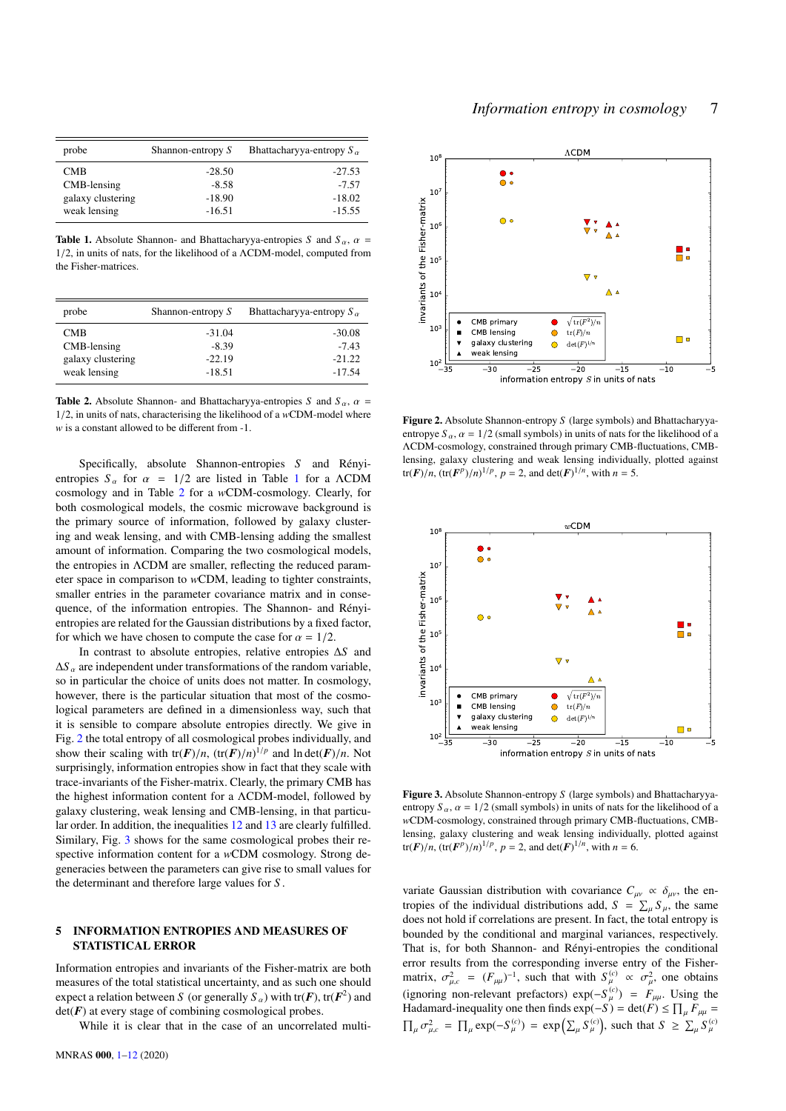| probe             | Shannon-entropy S | Bhattacharyya-entropy $S_{\alpha}$ |
|-------------------|-------------------|------------------------------------|
| <b>CMB</b>        | $-28.50$          | $-27.53$                           |
| CMB-lensing       | $-8.58$           | $-7.57$                            |
| galaxy clustering | $-18.90$          | $-18.02$                           |
| weak lensing      | $-16.51$          | $-15.55$                           |

**Table 1.** Absolute Shannon- and Bhattacharyya-entropies *S* and  $S_\alpha$ ,  $\alpha$  = <sup>1</sup>/2, in units of nats, for the likelihood of a <sup>Λ</sup>CDM-model, computed from the Fisher-matrices.

| probe             | Shannon-entropy S | Bhattacharyya-entropy $S_{\alpha}$ |
|-------------------|-------------------|------------------------------------|
| CMB               | $-31.04$          | $-30.08$                           |
| CMB-lensing       | $-8.39$           | $-7.43$                            |
| galaxy clustering | $-22.19$          | $-21.22$                           |
| weak lensing      | $-18.51$          | $-17.54$                           |

Table 2. Absolute Shannon- and Bhattacharyya-entropies *S* and  $S_\alpha$ ,  $\alpha$  = <sup>1</sup>/2, in units of nats, characterising the likelihood of a *<sup>w</sup>*CDM-model where *w* is a constant allowed to be different from -1.

Specifically, absolute Shannon-entropies *S* and Rényientropies  $S_\alpha$  for  $\alpha = 1/2$  $\alpha = 1/2$  $\alpha = 1/2$  are listed in Table 1 for a  $\Lambda$ CDM cosmology and in Table [2](#page-6-2) for a *w*CDM-cosmology. Clearly, for both cosmological models, the cosmic microwave background is the primary source of information, followed by galaxy clustering and weak lensing, and with CMB-lensing adding the smallest amount of information. Comparing the two cosmological models, the entropies in ΛCDM are smaller, reflecting the reduced parameter space in comparison to *w*CDM, leading to tighter constraints, smaller entries in the parameter covariance matrix and in consequence, of the information entropies. The Shannon- and Rényientropies are related for the Gaussian distributions by a fixed factor, for which we have chosen to compute the case for  $\alpha = 1/2$ .

In contrast to absolute entropies, relative entropies ∆*S* and  $\Delta S$ <sub>α</sub> are independent under transformations of the random variable, so in particular the choice of units does not matter. In cosmology, however, there is the particular situation that most of the cosmological parameters are defined in a dimensionless way, such that it is sensible to compare absolute entropies directly. We give in Fig. [2](#page-6-3) the total entropy of all cosmological probes individually, and show their scaling with  $tr(F)/n$ ,  $(tr(F)/n)^{1/p}$  and  $ln det(F)/n$ . Not<br>surprisingly information entropies show in fact that they scale with surprisingly, information entropies show in fact that they scale with trace-invariants of the Fisher-matrix. Clearly, the primary CMB has the highest information content for a ΛCDM-model, followed by galaxy clustering, weak lensing and CMB-lensing, in that particular order. In addition, the inequalities [12](#page-2-4) and [13](#page-2-5) are clearly fulfilled. Similary, Fig. [3](#page-6-4) shows for the same cosmological probes their respective information content for a *w*CDM cosmology. Strong degeneracies between the parameters can give rise to small values for the determinant and therefore large values for *S* .

## <span id="page-6-0"></span>5 INFORMATION ENTROPIES AND MEASURES OF STATISTICAL ERROR

Information entropies and invariants of the Fisher-matrix are both measures of the total statistical uncertainty, and as such one should expect a relation between *S* (or generally  $S_\alpha$ ) with tr(*F*), tr(*F*<sup>2</sup>) and  $det(F)$  at every stage of combining cosmological probes.

While it is clear that in the case of an uncorrelated multi-

<span id="page-6-1"></span>

<span id="page-6-3"></span><span id="page-6-2"></span>Figure 2. Absolute Shannon-entropy *S* (large symbols) and Bhattacharyyaentropye  $S_\alpha$ ,  $\alpha = 1/2$  (small symbols) in units of nats for the likelihood of a ΛCDM-cosmology, constrained through primary CMB-fluctuations, CMBlensing, galaxy clustering and weak lensing individually, plotted against tr(*F*)/*n*, (tr(*F<sup><i>p*</sup>)/*n*)<sup>1/*p*</sup>, *p* = 2, and det(*F*)<sup>1/*n*</sup>, with *n* = 5.



<span id="page-6-4"></span>Figure 3. Absolute Shannon-entropy *S* (large symbols) and Bhattacharyyaentropy  $S_\alpha$ ,  $\alpha = 1/2$  (small symbols) in units of nats for the likelihood of a *w*CDM-cosmology, constrained through primary CMB-fluctuations, CMBlensing, galaxy clustering and weak lensing individually, plotted against tr(*F*)/*n*, (tr(*F<sup><i>p*</sup>)/*n*)<sup>1/*p*</sup>, *p* = 2, and det(*F*)<sup>1/*n*</sup>, with *n* = 6.

variate Gaussian distribution with covariance  $C_{\mu\nu} \propto \delta_{\mu\nu}$ , the entropies of the individual distributions add,  $S = \sum_{\mu} S_{\mu}$ , the same does not hold if correlations are present. In fact, the total entropy is bounded by the conditional and marginal variances, respectively. That is, for both Shannon- and Rényi-entropies the conditional error results from the corresponding inverse entry of the Fishermatrix,  $\sigma_{\mu,c}^2 = (F_{\mu\mu})^{-1}$ , such that with  $S_{\mu}^{(c)} \propto \sigma_{\mu}^2$ , one obtains (ignoring non-relevant prefactors)  $\exp(-S_{\mu}^{(c)}) = F_{\mu\mu}$ . Using the Hadamard-inequality one then finds  $\exp(-S) = \det(F) \le \prod_{\mu} F_{\mu\mu} =$  $\prod_{\mu} \sigma_{\mu,c}^2 = \prod_{\mu} \exp(-S_{\mu}^{(c)}) = \exp\left(\sum_{\mu} S_{\mu}^{(c)}\right)$  $\left(\begin{array}{c} (c) \\ \mu \end{array}\right)$ , such that  $S \geq \sum_{\mu} S_{\mu}^{(c)}$  $^{\prime}$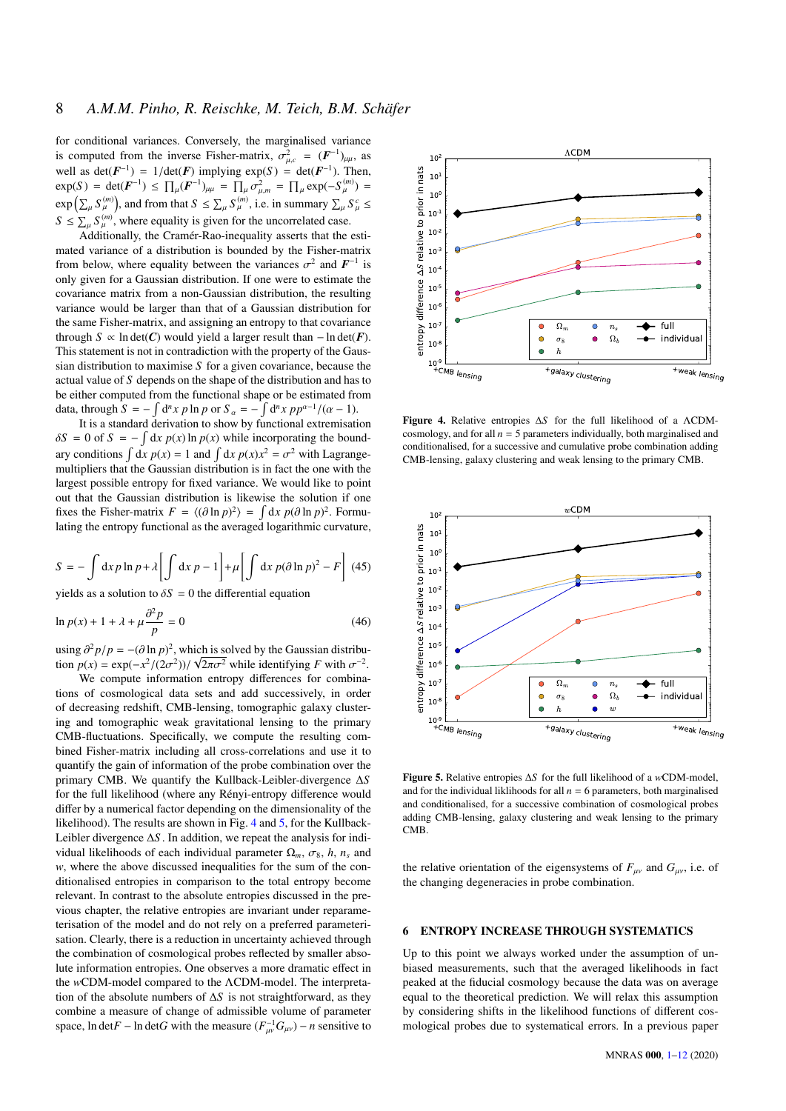for conditional variances. Conversely, the marginalised variance is computed from the inverse Fisher-matrix,  $\sigma_{\mu,c}^2 = (\mathbf{F}^{-1})_{\mu\mu}$ , as well as  $det(F^{-1}) = 1/det(F)$  implying  $exp(S) = det(F^{-1})$ . Then,<br> $exp(S) = det(F^{-1}) \le \prod_{r=1}^{\infty} (F^{-1}) = \prod_{r=1}^{\infty} exp(-S^{(m)})$ .  $\exp(S) = \det(\mathbf{F}^{-1}) \le \prod_{\mu} (\mathbf{F}^{-1})_{\mu\mu} = \prod_{\mu} \sigma_{\mu,m}^2 = \prod_{\mu} \exp(-S_{\mu}^{(m)}) =$ <br> $\exp\left(\sum_{\mu} S_{\mu}^{(m)}\right)$ , and from that  $S \le \sum_{\mu} S_{\mu}^{(m)}$ , i.e. in summary  $\sum_{\mu} S_{\mu}^c \le$  $S \leq \sum_{\mu} S_{\mu}^{(m)}$ , where equality is given for the uncorrelated case.

Additionally, the Cramér-Rao-inequality asserts that the estimated variance of a distribution is bounded by the Fisher-matrix from below, where equality between the variances  $\sigma^2$  and  $F^{-1}$  is only given for a Gaussian distribution. If one were to estimate the only given for a Gaussian distribution. If one were to estimate the covariance matrix from a non-Gaussian distribution, the resulting variance would be larger than that of a Gaussian distribution for the same Fisher-matrix, and assigning an entropy to that covariance through *S* ∝ ln det(*C*) would yield a larger result than  $-$  ln det(*F*). This statement is not in contradiction with the property of the Gaussian distribution to maximise *S* for a given covariance, because the actual value of *S* depends on the shape of the distribution and has to be either computed from the functional shape or be estimated from data, through  $S = -\int d^n x p \ln p$  or  $S_\alpha = -\int d^n x p p^{\alpha-1}/(\alpha - 1)$ .<br>It is a standard derivation to show by functional extremisation

It is a standard derivation to show by functional extremisation  $\delta S = 0$  of  $S = -\int dx p(x) \ln p(x)$  while incorporating the bound-<br>sure so distance  $\int dx p(x) dx$  of  $\int dx p(x) x^2 dx = -2$  with Lemmarc ary conditions  $\int dx p(x) = 1$  and  $\int dx p(x)x^2 = \sigma^2$  with Lagrange-<br>multipliers that the Gaussian distribution is in fact the one with the multipliers that the Gaussian distribution is in fact the one with the largest possible entropy for fixed variance. We would like to point out that the Gaussian distribution is likewise the solution if one fixes the Fisher-matrix  $F = \langle (\partial \ln p)^2 \rangle = \int dx p(\partial \ln p)^2$ . Formulating the entropy functional as the averaged logarithmic curvature lating the entropy functional as the averaged logarithmic curvature,

$$
S = -\int dx p \ln p + \lambda \left[ \int dx p - 1 \right] + \mu \left[ \int dx p (\partial \ln p)^2 - F \right] (45)
$$

yields as a solution to  $\delta S = 0$  the differential equation

$$
\ln p(x) + 1 + \lambda + \mu \frac{\partial^2 p}{p} = 0 \tag{46}
$$

using  $\frac{\partial^2 p}{p} = -(\frac{\partial \ln p}{\partial x})^2$ , which is solved by the Gaussian distribu-<br>tion  $p(x) = \exp(-x^2/(2\sigma^2))$   $\sqrt{2\pi\sigma^2}$  while identifying *E* with  $\sigma^{-2}$ tion  $p(x) = \exp(-x^2/(2\sigma^2))/\sqrt{2\pi\sigma^2}$  while identifying *F* with  $\sigma^{-2}$ .

We compute information entropy differences for combinations of cosmological data sets and add successively, in order of decreasing redshift, CMB-lensing, tomographic galaxy clustering and tomographic weak gravitational lensing to the primary CMB-fluctuations. Specifically, we compute the resulting combined Fisher-matrix including all cross-correlations and use it to quantify the gain of information of the probe combination over the primary CMB. We quantify the Kullback-Leibler-divergence ∆*S* for the full likelihood (where any Rényi-entropy difference would differ by a numerical factor depending on the dimensionality of the likelihood). The results are shown in Fig. [4](#page-7-1) and [5,](#page-7-2) for the Kullback-Leibler divergence ∆*S* . In addition, we repeat the analysis for individual likelihoods of each individual parameter  $\Omega_m$ ,  $\sigma_8$ , *h*,  $n_s$  and *w*, where the above discussed inequalities for the sum of the conditionalised entropies in comparison to the total entropy become relevant. In contrast to the absolute entropies discussed in the previous chapter, the relative entropies are invariant under reparameterisation of the model and do not rely on a preferred parameterisation. Clearly, there is a reduction in uncertainty achieved through the combination of cosmological probes reflected by smaller absolute information entropies. One observes a more dramatic effect in the *w*CDM-model compared to the ΛCDM-model. The interpretation of the absolute numbers of ∆*S* is not straightforward, as they combine a measure of change of admissible volume of parameter space, ln det $F$  − ln det $G$  with the measure  $(F_{\mu\nu}^{-1}G_{\mu\nu})$  − *n* sensitive to



<span id="page-7-1"></span>Figure 4. Relative entropies ∆*S* for the full likelihood of a ΛCDMcosmology, and for all  $n = 5$  parameters individually, both marginalised and conditionalised, for a successive and cumulative probe combination adding CMB-lensing, galaxy clustering and weak lensing to the primary CMB.



<span id="page-7-2"></span>Figure 5. Relative entropies ∆*S* for the full likelihood of a *w*CDM-model, and for the individual liklihoods for all  $n = 6$  parameters, both marginalised and conditionalised, for a successive combination of cosmological probes adding CMB-lensing, galaxy clustering and weak lensing to the primary CMB.

the relative orientation of the eigensystems of  $F_{\mu\nu}$  and  $G_{\mu\nu}$ , i.e. of the changing degeneracies in probe combination.

## <span id="page-7-0"></span>6 ENTROPY INCREASE THROUGH SYSTEMATICS

Up to this point we always worked under the assumption of unbiased measurements, such that the averaged likelihoods in fact peaked at the fiducial cosmology because the data was on average equal to the theoretical prediction. We will relax this assumption by considering shifts in the likelihood functions of different cosmological probes due to systematical errors. In a previous paper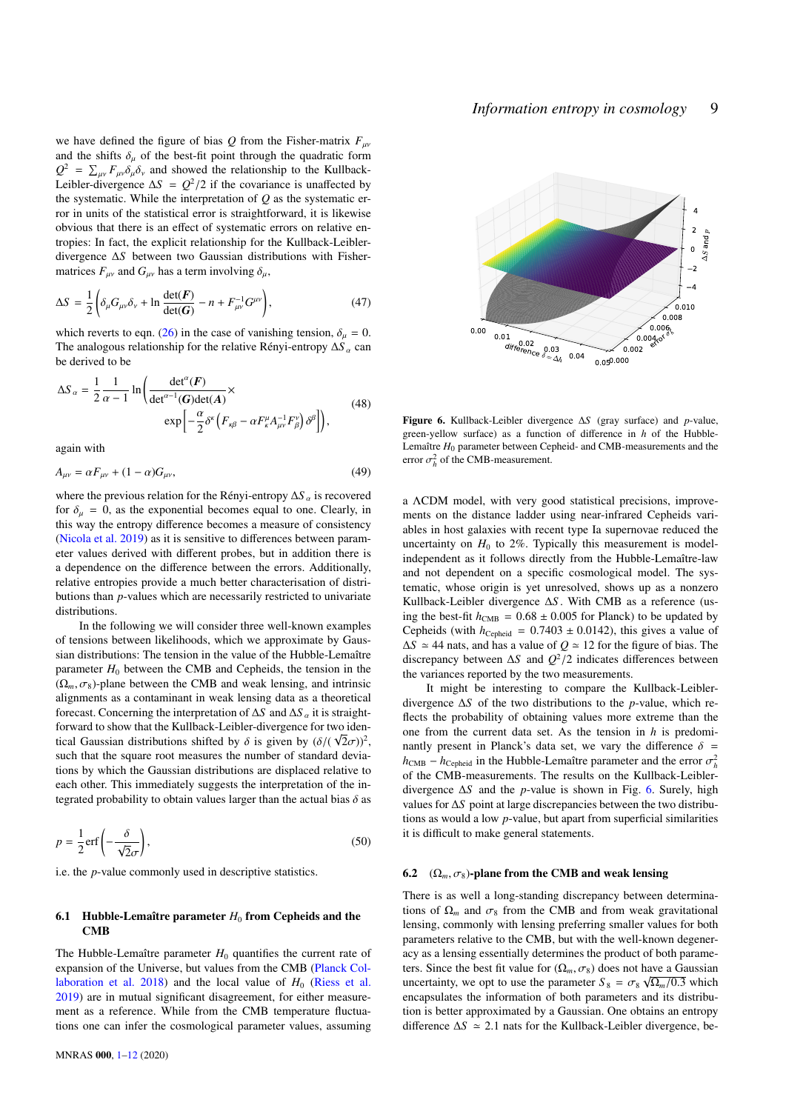we have defined the figure of bias  $Q$  from the Fisher-matrix  $F_{\mu\nu}$ and the shifts  $\delta_{\mu}$  of the best-fit point through the quadratic form  $Q^2 = \sum_{\mu\nu} F_{\mu\nu} \delta_{\mu} \delta_{\nu}$  and showed the relationship to the Kullback-<br>Leibler-divergence AS =  $Q^2/2$  if the covariance is unaffected by Leibler-divergence  $\Delta S = Q^2/2$  if the covariance is unaffected by<br>the systematic While the interpretation of *O* as the systematic erthe systematic. While the interpretation of *Q* as the systematic error in units of the statistical error is straightforward, it is likewise obvious that there is an effect of systematic errors on relative entropies: In fact, the explicit relationship for the Kullback-Leiblerdivergence ∆*S* between two Gaussian distributions with Fishermatrices  $F_{\mu\nu}$  and  $G_{\mu\nu}$  has a term involving  $\delta_{\mu}$ ,

$$
\Delta S = \frac{1}{2} \left( \delta_{\mu} G_{\mu\nu} \delta_{\nu} + \ln \frac{\det(\boldsymbol{F})}{\det(\boldsymbol{G})} - n + F_{\mu\nu}^{-1} G^{\mu\nu} \right), \tag{47}
$$

which reverts to eqn. [\(26\)](#page-4-2) in the case of vanishing tension,  $\delta_{\mu} = 0$ . The analogous relationship for the relative Rényi-entropy ∆*S*<sub>α</sub> can be derived to be

<span id="page-8-2"></span>
$$
\Delta S_{\alpha} = \frac{1}{2} \frac{1}{\alpha - 1} \ln \left( \frac{\det^{\alpha}(F)}{\det^{\alpha - 1}(G) \det(A)} \times \exp \left[ -\frac{\alpha}{2} \delta^{\kappa} \left( F_{\kappa \beta} - \alpha F_{\kappa}^{\mu} A_{\mu\nu}^{-1} F_{\beta}^{\nu} \right) \delta^{\beta} \right] \right), \tag{48}
$$

again with

$$
A_{\mu\nu} = \alpha F_{\mu\nu} + (1 - \alpha) G_{\mu\nu},\tag{49}
$$

where the previous relation for the Rényi-entropy Δ*S* <sub>α</sub> is recovered for  $\delta_{\mu} = 0$ , as the exponential becomes equal to one. Clearly, in this way the entropy difference becomes a measure of consistency [\(Nicola et al.](#page-11-71) [2019\)](#page-11-71) as it is sensitive to differences between parameter values derived with different probes, but in addition there is a dependence on the difference between the errors. Additionally, relative entropies provide a much better characterisation of distributions than *p*-values which are necessarily restricted to univariate distributions.

In the following we will consider three well-known examples of tensions between likelihoods, which we approximate by Gaussian distributions: The tension in the value of the Hubble-Lemaître parameter  $H_0$  between the CMB and Cepheids, the tension in the  $(\Omega_m, \sigma_8)$ -plane between the CMB and weak lensing, and intrinsic alignments as a contaminant in weak lensing data as a theoretical forecast. Concerning the interpretation of <sup>∆</sup>*<sup>S</sup>* and <sup>∆</sup>*<sup>S</sup>* α it is straightforward to show that the Kullback-Leibler-divergence for two identical Gaussian distributions shifted by  $\delta$  is given by  $(\delta/(\sqrt{2}\sigma))^2$ , such that the square root measures the number of standard deviations by which the Gaussian distributions are displaced relative to each other. This immediately suggests the interpretation of the integrated probability to obtain values larger than the actual bias  $\delta$  as

$$
p = \frac{1}{2} \operatorname{erf} \left( -\frac{\delta}{\sqrt{2}\sigma} \right),\tag{50}
$$

i.e. the *p*-value commonly used in descriptive statistics.

### 6.1 Hubble-Lemaître parameter  $H_0$  from Cepheids and the CMB

The Hubble-Lemaître parameter  $H_0$  quantifies the current rate of expansion of the Universe, but values from the CMB [\(Planck Col](#page-11-35)[laboration et al.](#page-11-35) [2018\)](#page-11-35) and the local value of  $H_0$  [\(Riess et al.](#page-11-72) [2019\)](#page-11-72) are in mutual significant disagreement, for either measurement as a reference. While from the CMB temperature fluctuations one can infer the cosmological parameter values, assuming



<span id="page-8-1"></span><span id="page-8-0"></span>Figure 6. Kullback-Leibler divergence ∆*S* (gray surface) and *p*-value, green-yellow surface) as a function of difference in *h* of the Hubble-Lemaître *H*<sup>0</sup> parameter between Cepheid- and CMB-measurements and the error  $\sigma_h^2$  of the CMB-measurement.

a ΛCDM model, with very good statistical precisions, improvements on the distance ladder using near-infrared Cepheids variables in host galaxies with recent type Ia supernovae reduced the uncertainty on  $H_0$  to 2%. Typically this measurement is modelindependent as it follows directly from the Hubble-Lemaître-law and not dependent on a specific cosmological model. The systematic, whose origin is yet unresolved, shows up as a nonzero Kullback-Leibler divergence ∆*S* . With CMB as a reference (using the best-fit  $h_{\text{CMB}} = 0.68 \pm 0.005$  for Planck) to be updated by Cepheids (with  $h_{\text{Cepheid}} = 0.7403 \pm 0.0142$ ), this gives a value of  $\Delta S \approx 44$  nats, and has a value of  $Q \approx 12$  for the figure of bias. The discrepancy between  $\Delta S$  and  $Q^2/2$  indicates differences between<br>the variances reported by the two measurements the variances reported by the two measurements.

It might be interesting to compare the Kullback-Leiblerdivergence ∆*S* of the two distributions to the *p*-value, which reflects the probability of obtaining values more extreme than the one from the current data set. As the tension in *h* is predominantly present in Planck's data set, we vary the difference  $\delta$  =  $h_{\text{CMB}} - h_{\text{Cepheid}}$  in the Hubble-Lemaître parameter and the error  $\sigma_h^2$ <br>of the CMB-measurements. The results on the Kullback-Leibler of the CMB-measurements. The results on the Kullback-Leiblerdivergence ∆*S* and the *p*-value is shown in Fig. [6.](#page-8-0) Surely, high values for ∆*S* point at large discrepancies between the two distributions as would a low *p*-value, but apart from superficial similarities it is difficult to make general statements.

## 6.2 ( $\Omega_m$ ,  $\sigma_8$ )-plane from the CMB and weak lensing

There is as well a long-standing discrepancy between determinations of  $\Omega_m$  and  $\sigma_8$  from the CMB and from weak gravitational lensing, commonly with lensing preferring smaller values for both parameters relative to the CMB, but with the well-known degeneracy as a lensing essentially determines the product of both parameters. Since the best fit value for  $(\Omega_m, \sigma_8)$  does not have a Gaussian<br>weartsinty we ont to use the parameter  $S_n = \sigma_n \sqrt{Q_1/Q_3}$  which uncertainty, we opt to use the parameter  $S_8 = \sigma_8 \sqrt{\Omega_m / 0.3}$  which<br>encapsulates the information of both parameters and its distribuencapsulates the information of both parameters and its distribution is better approximated by a Gaussian. One obtains an entropy difference  $\Delta S$   $\simeq$  2.1 nats for the Kullback-Leibler divergence, be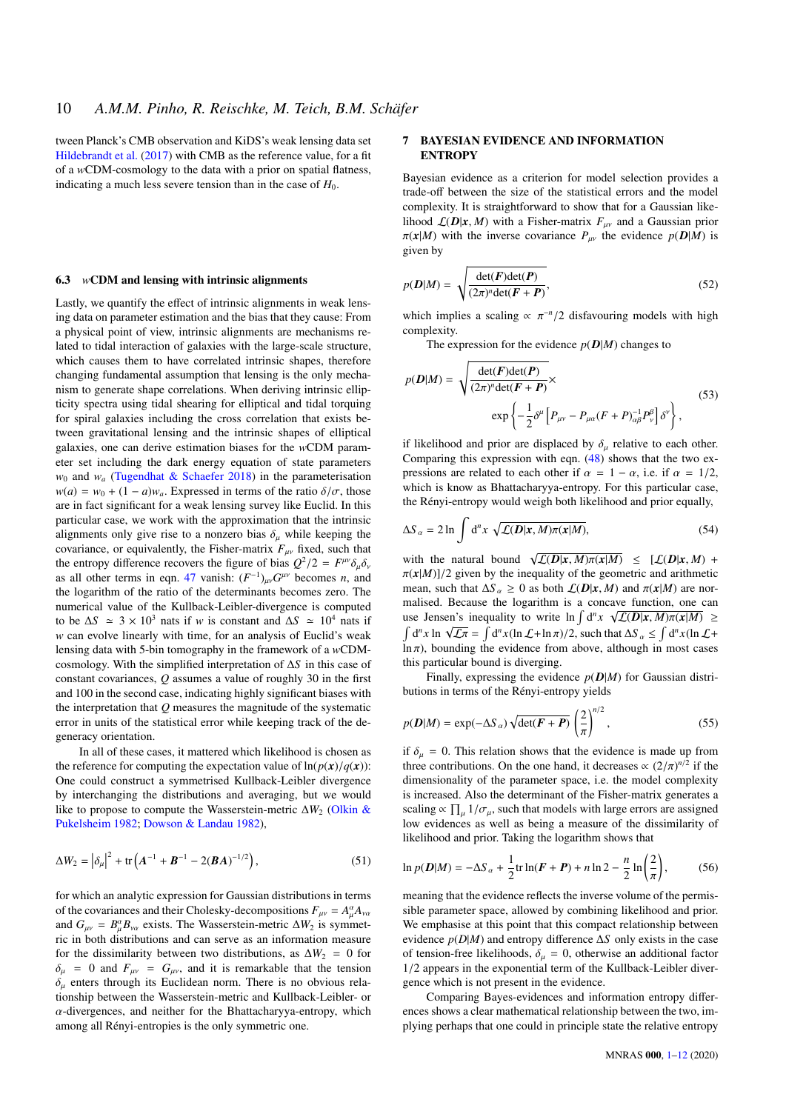tween Planck's CMB observation and KiDS's weak lensing data set [Hildebrandt et al.](#page-11-73) [\(2017\)](#page-11-73) with CMB as the reference value, for a fit of a *w*CDM-cosmology to the data with a prior on spatial flatness, indicating a much less severe tension than in the case of  $H_0$ .

#### 6.3 *w*CDM and lensing with intrinsic alignments

Lastly, we quantify the effect of intrinsic alignments in weak lensing data on parameter estimation and the bias that they cause: From a physical point of view, intrinsic alignments are mechanisms related to tidal interaction of galaxies with the large-scale structure, which causes them to have correlated intrinsic shapes, therefore changing fundamental assumption that lensing is the only mechanism to generate shape correlations. When deriving intrinsic ellipticity spectra using tidal shearing for elliptical and tidal torquing for spiral galaxies including the cross correlation that exists between gravitational lensing and the intrinsic shapes of elliptical galaxies, one can derive estimation biases for the *w*CDM parameter set including the dark energy equation of state parameters  $w_0$  and  $w_a$  [\(Tugendhat & Schaefer](#page-11-74) [2018\)](#page-11-74) in the parameterisation  $w(a) = w_0 + (1 - a)w_a$ . Expressed in terms of the ratio  $\delta/\sigma$ , those are in fact significant for a weak lensing survey like Euclid. In this particular case, we work with the approximation that the intrinsic alignments only give rise to a nonzero bias  $\delta_{\mu}$  while keeping the covariance, or equivalently, the Fisher-matrix  $F_{\mu\nu}$  fixed, such that the entropy difference recovers the figure of bias  $Q^2/2 = F$ <br>as all other terms in eqn. 47 vanish:  $(F^{-1})$ ,  $G^{\mu\nu}$  becomes the entropy difference recovers the righte of bias  $Q^2/2 = F^{P^2} \partial_\mu \partial_\nu$ <br>as all other terms in eqn. [47](#page-8-1) vanish:  $(F^{-1})_{\mu\nu} G^{\mu\nu}$  becomes *n*, and the logarithm of the ratio of the determinants becomes zero. The numerical value of the Kullback-Leibler-divergence is computed to be  $\Delta S \approx 3 \times 10^3$  nats if *w* is constant and  $\Delta S \approx 10^4$  nats if *w* can evolve linearly with time, for an analysis of Euclid's weak lensing data with 5-bin tomography in the framework of a *w*CDMcosmology. With the simplified interpretation of ∆*S* in this case of constant covariances, *Q* assumes a value of roughly 30 in the first and 100 in the second case, indicating highly significant biases with the interpretation that *Q* measures the magnitude of the systematic error in units of the statistical error while keeping track of the degeneracy orientation.

In all of these cases, it mattered which likelihood is chosen as the reference for computing the expectation value of  $\ln(p(x)/q(x))$ : One could construct a symmetrised Kullback-Leibler divergence by interchanging the distributions and averaging, but we would like to propose to compute the Wasserstein-metric ∆*W*<sub>2</sub> [\(Olkin &](#page-11-75) [Pukelsheim](#page-11-75) [1982;](#page-11-75) [Dowson & Landau](#page-11-76) [1982\)](#page-11-76),

$$
\Delta W_2 = |\delta_\mu|^2 + \text{tr}\left(A^{-1} + B^{-1} - 2(BA)^{-1/2}\right),\tag{51}
$$

for which an analytic expression for Gaussian distributions in terms of the covariances and their Cholesky-decompositions  $F_{\mu\nu} = A^{\alpha}_{\mu} A_{\nu\alpha}$ <br>and  $G_{\mu\nu} = B^{\alpha} P_{\mu\nu}$  axists. The Wasserstein matrix AW, is symmetric and  $G_{\mu\nu} = B^{\alpha}_{\mu} B_{\nu\alpha}$  exists. The Wasserstein-metric  $\Delta W_2$  is symmetric in both distributions and can serve as an information measure ric in both distributions and can serve as an information measure for the dissimilarity between two distributions, as  $\Delta W_2 = 0$  for  $\delta_{\mu}$  = 0 and  $F_{\mu\nu}$  =  $G_{\mu\nu}$ , and it is remarkable that the tension  $\delta_{\mu}$  enters through its Euclidean norm. There is no obvious relationship between the Wasserstein-metric and Kullback-Leibler- or  $\alpha$ -divergences, and neither for the Bhattacharyya-entropy, which among all Rényi-entropies is the only symmetric one.

## <span id="page-9-0"></span>7 BAYESIAN EVIDENCE AND INFORMATION **ENTROPY**

Bayesian evidence as a criterion for model selection provides a trade-off between the size of the statistical errors and the model complexity. It is straightforward to show that for a Gaussian likelihood  $\mathcal{L}(D|x, M)$  with a Fisher-matrix  $F_{uv}$  and a Gaussian prior  $\pi(x|M)$  with the inverse covariance  $P_{\mu\nu}$  the evidence  $p(D|M)$  is given by

$$
p(D|M) = \sqrt{\frac{\det(F)\det(P)}{(2\pi)^n \det(F + P)}},
$$
\n(52)

which implies a scaling  $\propto \pi^{-n}/2$  disfavouring models with high complexity complexity.

The expression for the evidence  $p(D|M)$  changes to

$$
p(D|M) = \sqrt{\frac{\det(F)\det(P)}{(2\pi)^n \det(F+P)}} \times \exp\left\{-\frac{1}{2}\delta^{\mu}\left[P_{\mu\nu} - P_{\mu\alpha}(F+P)_{\alpha\beta}^{-1}P_{\nu}^{\beta}\right]\delta^{\nu}\right\},
$$
\n(53)

if likelihood and prior are displaced by  $\delta_u$  relative to each other. Comparing this expression with eqn. [\(48\)](#page-8-2) shows that the two expressions are related to each other if  $\alpha = 1 - \alpha$ , i.e. if  $\alpha = 1/2$ , which is know as Bhattacharyya-entropy. For this particular case, the Rényi-entropy would weigh both likelihood and prior equally,

$$
\Delta S_{\alpha} = 2 \ln \int d^{n}x \sqrt{\mathcal{L}(\mathbf{D}|\mathbf{x}, M)\pi(\mathbf{x}|M)},
$$
\n(54)

with the natural bound  $\sqrt{\mathcal{L}(D|x, M)\pi(x|M)} \leq [\mathcal{L}(D|x, M) + \pi(x|M)]/2$  given by the inequality of the geometric and arithmetic  $\pi(x|M)|/2$  given by the inequality of the geometric and arithmetic mean, such that  $\Delta S_a \geq 0$  as both  $\mathcal{L}(D|x, M)$  and  $\pi(x|M)$  are normalised. Because the logarithm is a concave function, one can use Jensen's inequality to write  $\ln \int d^n x \sqrt{\mathcal{L}(D|x, M)\pi(x|M)}} \ge$  $\int d^n x \ln \sqrt{\mathcal{L}\pi} = \int d^n x (\ln \mathcal{L} + \ln \pi)/2$ , such that  $\Delta S_\alpha \leq \int d^n x (\ln \mathcal{L} + \ln \pi)$ <br>ln  $\pi$ ) bounding the evidence from above although in most cases  $\overline{\ln \pi}$ ), bounding the evidence from above, although in most cases this particular bound is diverging.

Finally, expressing the evidence  $p(D|M)$  for Gaussian distributions in terms of the Rényi-entropy yields

$$
p(\mathbf{D}|M) = \exp(-\Delta S_{\alpha}) \sqrt{\det(\mathbf{F} + \mathbf{P})} \left(\frac{2}{\pi}\right)^{n/2},
$$
\n(55)

if  $\delta_{\mu} = 0$ . This relation shows that the evidence is made up from<br>three contributions. On the one hand, it decreases  $\alpha (2/\pi)^{n/2}$  if the three contributions. On the one hand, it decreases  $\propto (2/\pi)^{n/2}$  if the dimensionality of the parameter space, i.e. the model complexity dimensionality of the parameter space, i.e. the model complexity is increased. Also the determinant of the Fisher-matrix generates a scaling  $\propto \prod_{\mu} 1/\sigma_{\mu}$ , such that models with large errors are assigned<br>low evidences as well as being a measure of the dissimilarity of low evidences as well as being a measure of the dissimilarity of likelihood and prior. Taking the logarithm shows that

$$
\ln p(\bm{D}|M) = -\Delta S_{\alpha} + \frac{1}{2} \text{tr} \ln(\bm{F} + \bm{P}) + n \ln 2 - \frac{n}{2} \ln \left(\frac{2}{\pi}\right),\tag{56}
$$

meaning that the evidence reflects the inverse volume of the permissible parameter space, allowed by combining likelihood and prior. We emphasise at this point that this compact relationship between evidence *p*(*D*|*M*) and entropy difference ∆*S* only exists in the case of tension-free likelihoods,  $\delta_{\mu} = 0$ , otherwise an additional factor <sup>1</sup>/2 appears in the exponential term of the Kullback-Leibler divergence which is not present in the evidence.

Comparing Bayes-evidences and information entropy differences shows a clear mathematical relationship between the two, implying perhaps that one could in principle state the relative entropy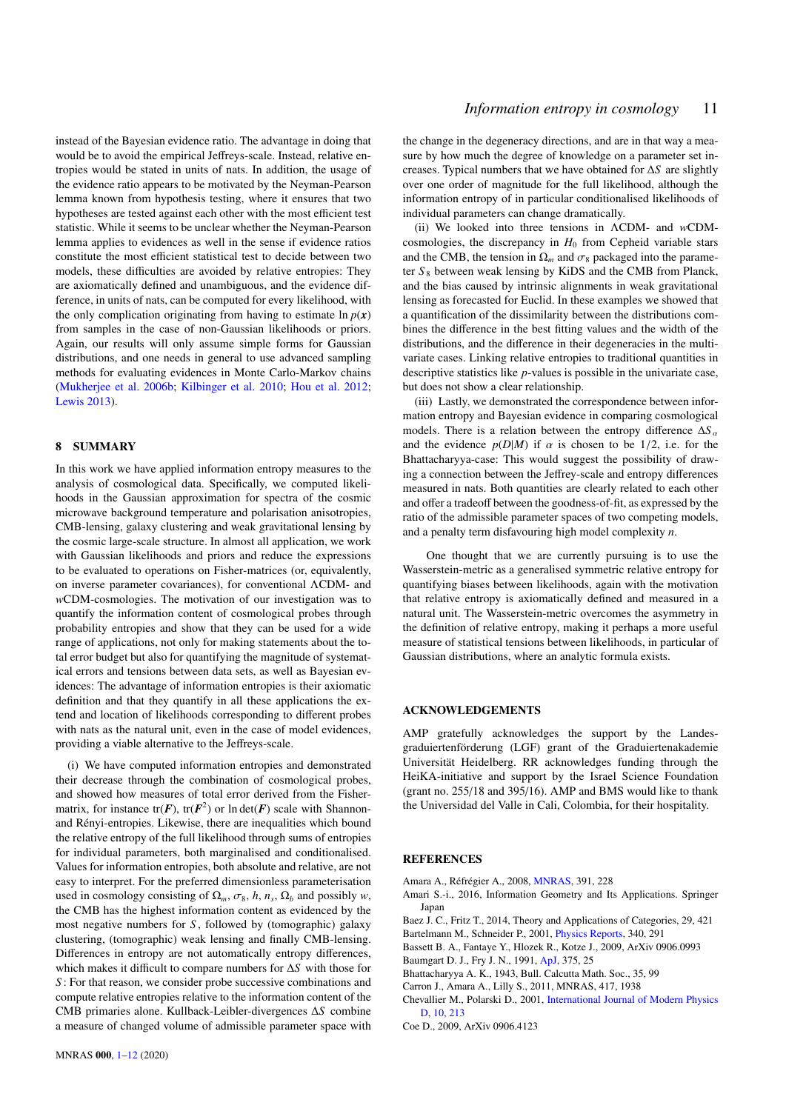instead of the Bayesian evidence ratio. The advantage in doing that would be to avoid the empirical Jeffreys-scale. Instead, relative entropies would be stated in units of nats. In addition, the usage of the evidence ratio appears to be motivated by the Neyman-Pearson lemma known from hypothesis testing, where it ensures that two hypotheses are tested against each other with the most efficient test statistic. While it seems to be unclear whether the Neyman-Pearson lemma applies to evidences as well in the sense if evidence ratios constitute the most efficient statistical test to decide between two models, these difficulties are avoided by relative entropies: They are axiomatically defined and unambiguous, and the evidence difference, in units of nats, can be computed for every likelihood, with the only complication originating from having to estimate  $\ln p(x)$ from samples in the case of non-Gaussian likelihoods or priors. Again, our results will only assume simple forms for Gaussian distributions, and one needs in general to use advanced sampling methods for evaluating evidences in Monte Carlo-Markov chains [\(Mukherjee et al.](#page-11-77) [2006b;](#page-11-77) [Kilbinger et al.](#page-11-78) [2010;](#page-11-78) [Hou et al.](#page-11-79) [2012;](#page-11-79) [Lewis](#page-11-80) [2013\)](#page-11-80).

## <span id="page-10-6"></span>8 SUMMARY

In this work we have applied information entropy measures to the analysis of cosmological data. Specifically, we computed likelihoods in the Gaussian approximation for spectra of the cosmic microwave background temperature and polarisation anisotropies, CMB-lensing, galaxy clustering and weak gravitational lensing by the cosmic large-scale structure. In almost all application, we work with Gaussian likelihoods and priors and reduce the expressions to be evaluated to operations on Fisher-matrices (or, equivalently, on inverse parameter covariances), for conventional ΛCDM- and *w*CDM-cosmologies. The motivation of our investigation was to quantify the information content of cosmological probes through probability entropies and show that they can be used for a wide range of applications, not only for making statements about the total error budget but also for quantifying the magnitude of systematical errors and tensions between data sets, as well as Bayesian evidences: The advantage of information entropies is their axiomatic definition and that they quantify in all these applications the extend and location of likelihoods corresponding to different probes with nats as the natural unit, even in the case of model evidences, providing a viable alternative to the Jeffreys-scale.

(i) We have computed information entropies and demonstrated their decrease through the combination of cosmological probes, and showed how measures of total error derived from the Fishermatrix, for instance  $tr(F)$ ,  $tr(F^2)$  or  $ln det(F)$  scale with Shannonand Rényi-entropies. Likewise, there are inequalities which bound the relative entropy of the full likelihood through sums of entropies for individual parameters, both marginalised and conditionalised. Values for information entropies, both absolute and relative, are not easy to interpret. For the preferred dimensionless parameterisation used in cosmology consisting of  $\Omega_m$ ,  $\sigma_8$ , *h*,  $n_s$ ,  $\Omega_b$  and possibly *w*, the CMB has the highest information content as evidenced by the the CMB has the highest information content as evidenced by the most negative numbers for *S* , followed by (tomographic) galaxy clustering, (tomographic) weak lensing and finally CMB-lensing. Differences in entropy are not automatically entropy differences, which makes it difficult to compare numbers for ∆*S* with those for *S* : For that reason, we consider probe successive combinations and compute relative entropies relative to the information content of the CMB primaries alone. Kullback-Leibler-divergences ∆*S* combine a measure of changed volume of admissible parameter space with the change in the degeneracy directions, and are in that way a measure by how much the degree of knowledge on a parameter set increases. Typical numbers that we have obtained for ∆*S* are slightly over one order of magnitude for the full likelihood, although the information entropy of in particular conditionalised likelihoods of individual parameters can change dramatically.

(ii) We looked into three tensions in ΛCDM- and *w*CDMcosmologies, the discrepancy in  $H_0$  from Cepheid variable stars and the CMB, the tension in  $\Omega_m$  and  $\sigma_8$  packaged into the parameter  $S_8$  between weak lensing by KiDS and the CMB from Planck, and the bias caused by intrinsic alignments in weak gravitational lensing as forecasted for Euclid. In these examples we showed that a quantification of the dissimilarity between the distributions combines the difference in the best fitting values and the width of the distributions, and the difference in their degeneracies in the multivariate cases. Linking relative entropies to traditional quantities in descriptive statistics like *p*-values is possible in the univariate case, but does not show a clear relationship.

<span id="page-10-0"></span>(iii) Lastly, we demonstrated the correspondence between information entropy and Bayesian evidence in comparing cosmological models. There is a relation between the entropy difference  $\Delta S$ <sup> $\alpha$ </sup> and the evidence  $p(D|M)$  if  $\alpha$  is chosen to be 1/2, i.e. for the Bhattacharyya-case: This would suggest the possibility of drawing a connection between the Jeffrey-scale and entropy differences measured in nats. Both quantities are clearly related to each other and offer a tradeoff between the goodness-of-fit, as expressed by the ratio of the admissible parameter spaces of two competing models, and a penalty term disfavouring high model complexity *n*.

One thought that we are currently pursuing is to use the Wasserstein-metric as a generalised symmetric relative entropy for quantifying biases between likelihoods, again with the motivation that relative entropy is axiomatically defined and measured in a natural unit. The Wasserstein-metric overcomes the asymmetry in the definition of relative entropy, making it perhaps a more useful measure of statistical tensions between likelihoods, in particular of Gaussian distributions, where an analytic formula exists.

## ACKNOWLEDGEMENTS

AMP gratefully acknowledges the support by the Landesgraduiertenförderung (LGF) grant of the Graduiertenakademie Universität Heidelberg. RR acknowledges funding through the HeiKA-initiative and support by the Israel Science Foundation (grant no. 255/18 and 395/16). AMP and BMS would like to thank the Universidad del Valle in Cali, Colombia, for their hospitality.

## **REFERENCES**

- <span id="page-10-3"></span>Amara A., Réfrégier A., 2008, [MNRAS,](http://dx.doi.org/10.1111/j.1365-2966.2008.13880.x) 391, 228
- <span id="page-10-7"></span>Amari S.-i., 2016, Information Geometry and Its Applications. Springer Japan
- <span id="page-10-9"></span>Baez J. C., Fritz T., 2014, Theory and Applications of Categories, 29, 421
- <span id="page-10-10"></span>Bartelmann M., Schneider P., 2001, [Physics Reports,](http://dx.doi.org/10.1016/S0370-1573(00)00082-X) 340, 291
- <span id="page-10-11"></span><span id="page-10-2"></span>Bassett B. A., Fantaye Y., Hlozek R., Kotze J., 2009, ArXiv 0906.0993 Baumgart D. J., Fry J. N., 1991, [ApJ,](http://dx.doi.org/10.1086/170166) 375, 25
- <span id="page-10-8"></span>Bhattacharyya A. K., 1943, Bull. Calcutta Math. Soc., 35, 99
- 
- <span id="page-10-4"></span>Carron J., Amara A., Lilly S., 2011, MNRAS, 417, 1938
- <span id="page-10-5"></span>Chevallier M., Polarski D., 2001, [International Journal of Modern Physics](http://dx.doi.org/10.1142/S0218271801000822) [D,](http://dx.doi.org/10.1142/S0218271801000822) [10, 213](https://ui.adsabs.harvard.edu/abs/2001IJMPD..10..213C)
- <span id="page-10-1"></span>Coe D., 2009, ArXiv 0906.4123